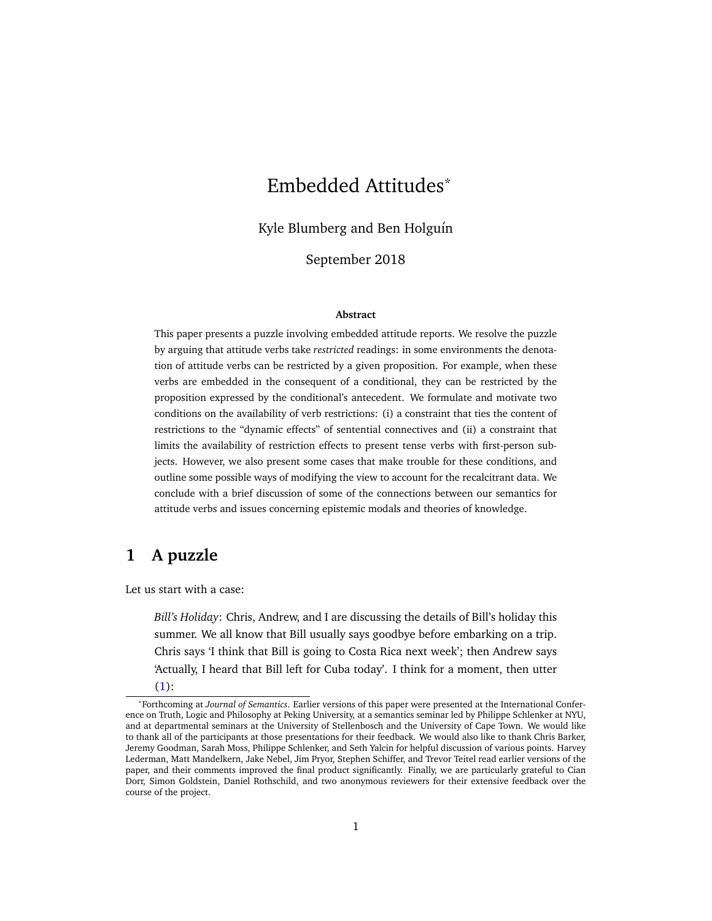# Embedded Attitudes\*

Kyle Blumberg and Ben Holguín

September 2018

#### **Abstract**

This paper presents a puzzle involving embedded attitude reports. We resolve the puzzle by arguing that attitude verbs take *restricted* readings: in some environments the denotation of attitude verbs can be restricted by a given proposition. For example, when these verbs are embedded in the consequent of a conditional, they can be restricted by the proposition expressed by the conditional's antecedent. We formulate and motivate two conditions on the availability of verb restrictions: (i) a constraint that ties the content of restrictions to the "dynamic effects" of sentential connectives and (ii) a constraint that limits the availability of restriction effects to present tense verbs with first-person subjects. However, we also present some cases that make trouble for these conditions, and outline some possible ways of modifying the view to account for the recalcitrant data. We conclude with a brief discussion of some of the connections between our semantics for attitude verbs and issues concerning epistemic modals and theories of knowledge.

# <span id="page-0-0"></span>**1 A puzzle**

Let us start with a case:

*Bill's Holiday*: Chris, Andrew, and I are discussing the details of Bill's holiday this summer. We all know that Bill usually says goodbye before embarking on a trip. Chris says 'I think that Bill is going to Costa Rica next week'; then Andrew says 'Actually, I heard that Bill left for Cuba today'. I think for a moment, then utter [\(1\)](#page-1-0):

<sup>\*</sup>Forthcoming at *Journal of Semantics*. Earlier versions of this paper were presented at the International Conference on Truth, Logic and Philosophy at Peking University, at a semantics seminar led by Philippe Schlenker at NYU, and at departmental seminars at the University of Stellenbosch and the University of Cape Town. We would like to thank all of the participants at those presentations for their feedback. We would also like to thank Chris Barker, Jeremy Goodman, Sarah Moss, Philippe Schlenker, and Seth Yalcin for helpful discussion of various points. Harvey Lederman, Matt Mandelkern, Jake Nebel, Jim Pryor, Stephen Schiffer, and Trevor Teitel read earlier versions of the paper, and their comments improved the final product significantly. Finally, we are particularly grateful to Cian Dorr, Simon Goldstein, Daniel Rothschild, and two anonymous reviewers for their extensive feedback over the course of the project.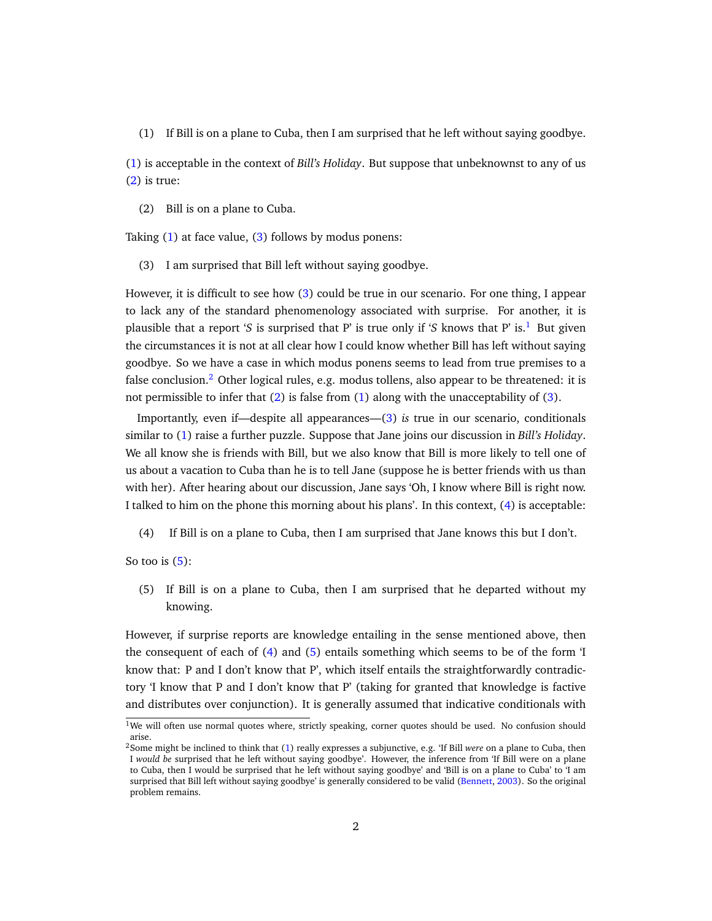<span id="page-1-0"></span>(1) If Bill is on a plane to Cuba, then I am surprised that he left without saying goodbye.

[\(1\)](#page-1-0) is acceptable in the context of *Bill's Holiday*. But suppose that unbeknownst to any of us [\(2\)](#page-1-1) is true:

<span id="page-1-1"></span>(2) Bill is on a plane to Cuba.

Taking [\(1\)](#page-1-0) at face value, [\(3\)](#page-1-2) follows by modus ponens:

<span id="page-1-2"></span>(3) I am surprised that Bill left without saying goodbye.

However, it is difficult to see how [\(3\)](#page-1-2) could be true in our scenario. For one thing, I appear to lack any of the standard phenomenology associated with surprise. For another, it is plausible that a report '*S* is surprised that P' is true only if '*S* knows that P' is.[1](#page-1-3) But given the circumstances it is not at all clear how I could know whether Bill has left without saying goodbye. So we have a case in which modus ponens seems to lead from true premises to a false conclusion.<sup>[2](#page-1-4)</sup> Other logical rules, e.g. modus tollens, also appear to be threatened: it is not permissible to infer that [\(2\)](#page-1-1) is false from [\(1\)](#page-1-0) along with the unacceptability of [\(3\)](#page-1-2).

Importantly, even if—despite all appearances—[\(3\)](#page-1-2) *is* true in our scenario, conditionals similar to [\(1\)](#page-1-0) raise a further puzzle. Suppose that Jane joins our discussion in *Bill's Holiday*. We all know she is friends with Bill, but we also know that Bill is more likely to tell one of us about a vacation to Cuba than he is to tell Jane (suppose he is better friends with us than with her). After hearing about our discussion, Jane says 'Oh, I know where Bill is right now. I talked to him on the phone this morning about his plans'. In this context, [\(4\)](#page-1-5) is acceptable:

<span id="page-1-5"></span>(4) If Bill is on a plane to Cuba, then I am surprised that Jane knows this but I don't.

So too is  $(5)$ :

<span id="page-1-6"></span>(5) If Bill is on a plane to Cuba, then I am surprised that he departed without my knowing.

However, if surprise reports are knowledge entailing in the sense mentioned above, then the consequent of each of [\(4\)](#page-1-5) and [\(5\)](#page-1-6) entails something which seems to be of the form 'I know that: P and I don't know that P', which itself entails the straightforwardly contradictory 'I know that P and I don't know that P' (taking for granted that knowledge is factive and distributes over conjunction). It is generally assumed that indicative conditionals with

<span id="page-1-3"></span> $1$ We will often use normal quotes where, strictly speaking, corner quotes should be used. No confusion should arise.

<span id="page-1-4"></span><sup>2</sup>Some might be inclined to think that [\(1\)](#page-1-0) really expresses a subjunctive, e.g. 'If Bill *were* on a plane to Cuba, then I *would be* surprised that he left without saying goodbye'. However, the inference from 'If Bill were on a plane to Cuba, then I would be surprised that he left without saying goodbye' and 'Bill is on a plane to Cuba' to 'I am surprised that Bill left without saying goodbye' is generally considered to be valid [\(Bennett,](#page-32-0) [2003\)](#page-32-0). So the original problem remains.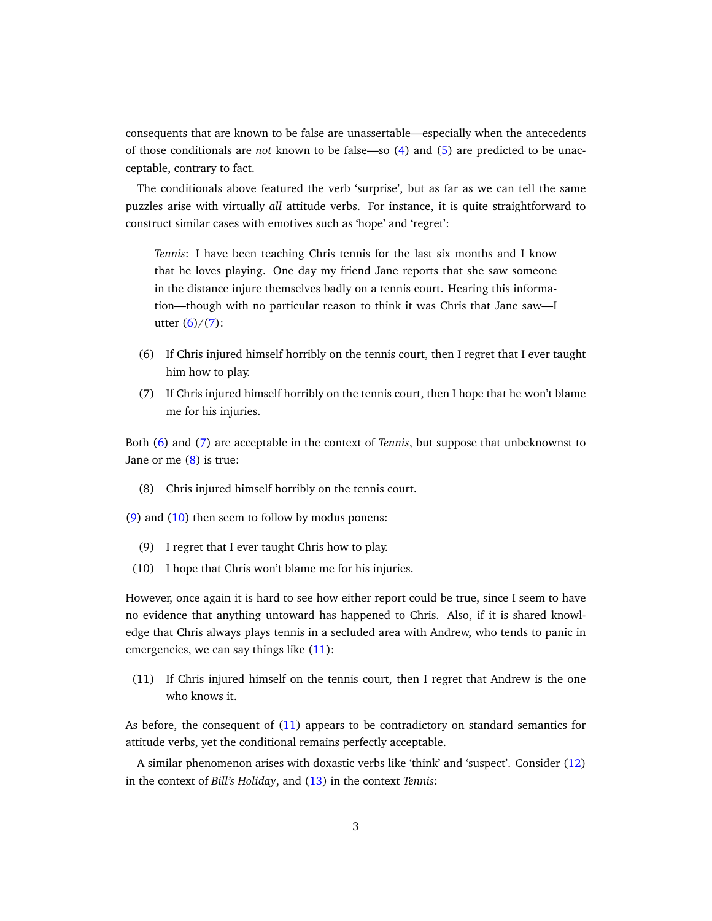consequents that are known to be false are unassertable—especially when the antecedents of those conditionals are *not* known to be false—so [\(4\)](#page-1-5) and [\(5\)](#page-1-6) are predicted to be unacceptable, contrary to fact.

The conditionals above featured the verb 'surprise', but as far as we can tell the same puzzles arise with virtually *all* attitude verbs. For instance, it is quite straightforward to construct similar cases with emotives such as 'hope' and 'regret':

*Tennis*: I have been teaching Chris tennis for the last six months and I know that he loves playing. One day my friend Jane reports that she saw someone in the distance injure themselves badly on a tennis court. Hearing this information—though with no particular reason to think it was Chris that Jane saw—I utter  $(6)/(7)$  $(6)/(7)$  $(6)/(7)$ :

- <span id="page-2-0"></span>(6) If Chris injured himself horribly on the tennis court, then I regret that I ever taught him how to play.
- <span id="page-2-1"></span>(7) If Chris injured himself horribly on the tennis court, then I hope that he won't blame me for his injuries.

Both [\(6\)](#page-2-0) and [\(7\)](#page-2-1) are acceptable in the context of *Tennis*, but suppose that unbeknownst to Jane or me [\(8\)](#page-2-2) is true:

<span id="page-2-2"></span>(8) Chris injured himself horribly on the tennis court.

[\(9\)](#page-2-3) and [\(10\)](#page-2-4) then seem to follow by modus ponens:

- <span id="page-2-3"></span>(9) I regret that I ever taught Chris how to play.
- <span id="page-2-4"></span>(10) I hope that Chris won't blame me for his injuries.

However, once again it is hard to see how either report could be true, since I seem to have no evidence that anything untoward has happened to Chris. Also, if it is shared knowledge that Chris always plays tennis in a secluded area with Andrew, who tends to panic in emergencies, we can say things like  $(11)$ :

<span id="page-2-5"></span>(11) If Chris injured himself on the tennis court, then I regret that Andrew is the one who knows it.

As before, the consequent of [\(11\)](#page-2-5) appears to be contradictory on standard semantics for attitude verbs, yet the conditional remains perfectly acceptable.

A similar phenomenon arises with doxastic verbs like 'think' and 'suspect'. Consider [\(12\)](#page-3-0) in the context of *Bill's Holiday*, and [\(13\)](#page-3-1) in the context *Tennis*: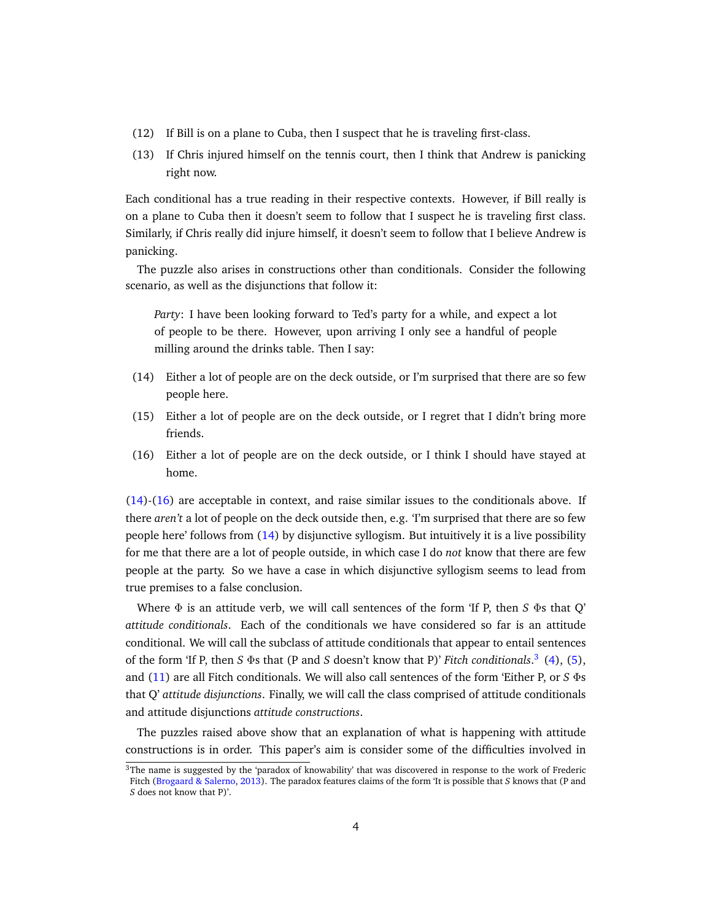- <span id="page-3-0"></span>(12) If Bill is on a plane to Cuba, then I suspect that he is traveling first-class.
- <span id="page-3-1"></span>(13) If Chris injured himself on the tennis court, then I think that Andrew is panicking right now.

Each conditional has a true reading in their respective contexts. However, if Bill really is on a plane to Cuba then it doesn't seem to follow that I suspect he is traveling first class. Similarly, if Chris really did injure himself, it doesn't seem to follow that I believe Andrew is panicking.

The puzzle also arises in constructions other than conditionals. Consider the following scenario, as well as the disjunctions that follow it:

*Party*: I have been looking forward to Ted's party for a while, and expect a lot of people to be there. However, upon arriving I only see a handful of people milling around the drinks table. Then I say:

- <span id="page-3-2"></span>(14) Either a lot of people are on the deck outside, or I'm surprised that there are so few people here.
- (15) Either a lot of people are on the deck outside, or I regret that I didn't bring more friends.
- <span id="page-3-3"></span>(16) Either a lot of people are on the deck outside, or I think I should have stayed at home.

[\(14\)](#page-3-2)-[\(16\)](#page-3-3) are acceptable in context, and raise similar issues to the conditionals above. If there *aren't* a lot of people on the deck outside then, e.g. 'I'm surprised that there are so few people here' follows from [\(14\)](#page-3-2) by disjunctive syllogism. But intuitively it is a live possibility for me that there are a lot of people outside, in which case I do *not* know that there are few people at the party. So we have a case in which disjunctive syllogism seems to lead from true premises to a false conclusion.

Where Φ is an attitude verb, we will call sentences of the form 'If P, then *S* Φs that Q' *attitude conditionals*. Each of the conditionals we have considered so far is an attitude conditional. We will call the subclass of attitude conditionals that appear to entail sentences of the form 'If P, then *S* Φs that (P and *S* doesn't know that P)' *Fitch conditionals*. [3](#page-3-4) [\(4\)](#page-1-5), [\(5\)](#page-1-6), and [\(11\)](#page-2-5) are all Fitch conditionals. We will also call sentences of the form 'Either P, or *S* Φs that Q' *attitude disjunctions*. Finally, we will call the class comprised of attitude conditionals and attitude disjunctions *attitude constructions*.

The puzzles raised above show that an explanation of what is happening with attitude constructions is in order. This paper's aim is consider some of the difficulties involved in

<span id="page-3-4"></span><sup>&</sup>lt;sup>3</sup>The name is suggested by the 'paradox of knowability' that was discovered in response to the work of Frederic Fitch [\(Brogaard & Salerno,](#page-32-1) [2013\)](#page-32-1). The paradox features claims of the form 'It is possible that *S* knows that (P and *S* does not know that P)'.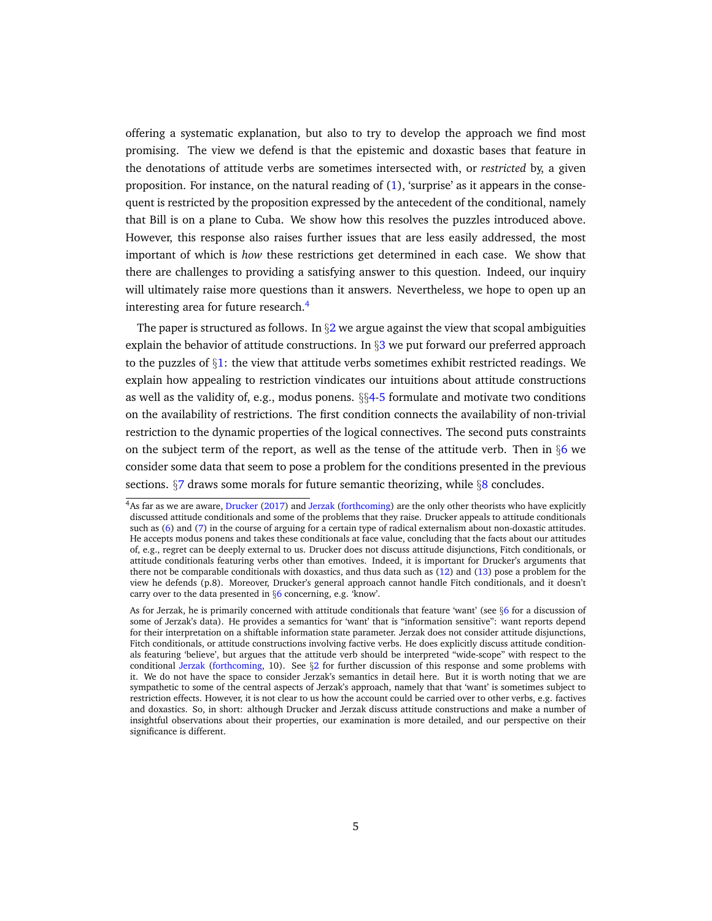offering a systematic explanation, but also to try to develop the approach we find most promising. The view we defend is that the epistemic and doxastic bases that feature in the denotations of attitude verbs are sometimes intersected with, or *restricted* by, a given proposition. For instance, on the natural reading of [\(1\)](#page-1-0), 'surprise' as it appears in the consequent is restricted by the proposition expressed by the antecedent of the conditional, namely that Bill is on a plane to Cuba. We show how this resolves the puzzles introduced above. However, this response also raises further issues that are less easily addressed, the most important of which is *how* these restrictions get determined in each case. We show that there are challenges to providing a satisfying answer to this question. Indeed, our inquiry will ultimately raise more questions than it answers. Nevertheless, we hope to open up an interesting area for future research.<sup>[4](#page-4-0)</sup>

The paper is structured as follows. In  $\S2$  $\S2$  we argue against the view that scopal ambiguities explain the behavior of attitude constructions. In  $\S 3$  $\S 3$  we put forward our preferred approach to the puzzles of  $\S1$ : the view that attitude verbs sometimes exhibit restricted readings. We explain how appealing to restriction vindicates our intuitions about attitude constructions as well as the validity of, e.g., modus ponens.  $\S 4-5$  $\S 4-5$  $\S 4-5$  formulate and motivate two conditions on the availability of restrictions. The first condition connects the availability of non-trivial restriction to the dynamic properties of the logical connectives. The second puts constraints on the subject term of the report, as well as the tense of the attitude verb. Then in  $\S6$  $\S6$  we consider some data that seem to pose a problem for the conditions presented in the previous sections. §[7](#page-28-0) draws some morals for future semantic theorizing, while §[8](#page-30-0) concludes.

<span id="page-4-0"></span><sup>4</sup>As far as we are aware, [Drucker](#page-32-2) [\(2017\)](#page-32-2) and [Jerzak](#page-32-3) [\(forthcoming\)](#page-32-3) are the only other theorists who have explicitly discussed attitude conditionals and some of the problems that they raise. Drucker appeals to attitude conditionals such as [\(6\)](#page-2-0) and [\(7\)](#page-2-1) in the course of arguing for a certain type of radical externalism about non-doxastic attitudes. He accepts modus ponens and takes these conditionals at face value, concluding that the facts about our attitudes of, e.g., regret can be deeply external to us. Drucker does not discuss attitude disjunctions, Fitch conditionals, or attitude conditionals featuring verbs other than emotives. Indeed, it is important for Drucker's arguments that there not be comparable conditionals with doxastics, and thus data such as  $(12)$  and  $(13)$  pose a problem for the view he defends (p.8). Moreover, Drucker's general approach cannot handle Fitch conditionals, and it doesn't carry over to the data presented in §[6](#page-23-0) concerning, e.g. 'know'.

As for Jerzak, he is primarily concerned with attitude conditionals that feature 'want' (see §[6](#page-23-0) for a discussion of some of Jerzak's data). He provides a semantics for 'want' that is "information sensitive": want reports depend for their interpretation on a shiftable information state parameter. Jerzak does not consider attitude disjunctions, Fitch conditionals, or attitude constructions involving factive verbs. He does explicitly discuss attitude conditionals featuring 'believe', but argues that the attitude verb should be interpreted "wide-scope" with respect to the conditional [Jerzak](#page-32-3) [\(forthcoming,](#page-32-3) 10). See §[2](#page-5-0) for further discussion of this response and some problems with it. We do not have the space to consider Jerzak's semantics in detail here. But it is worth noting that we are sympathetic to some of the central aspects of Jerzak's approach, namely that that 'want' is sometimes subject to restriction effects. However, it is not clear to us how the account could be carried over to other verbs, e.g. factives and doxastics. So, in short: although Drucker and Jerzak discuss attitude constructions and make a number of insightful observations about their properties, our examination is more detailed, and our perspective on their significance is different.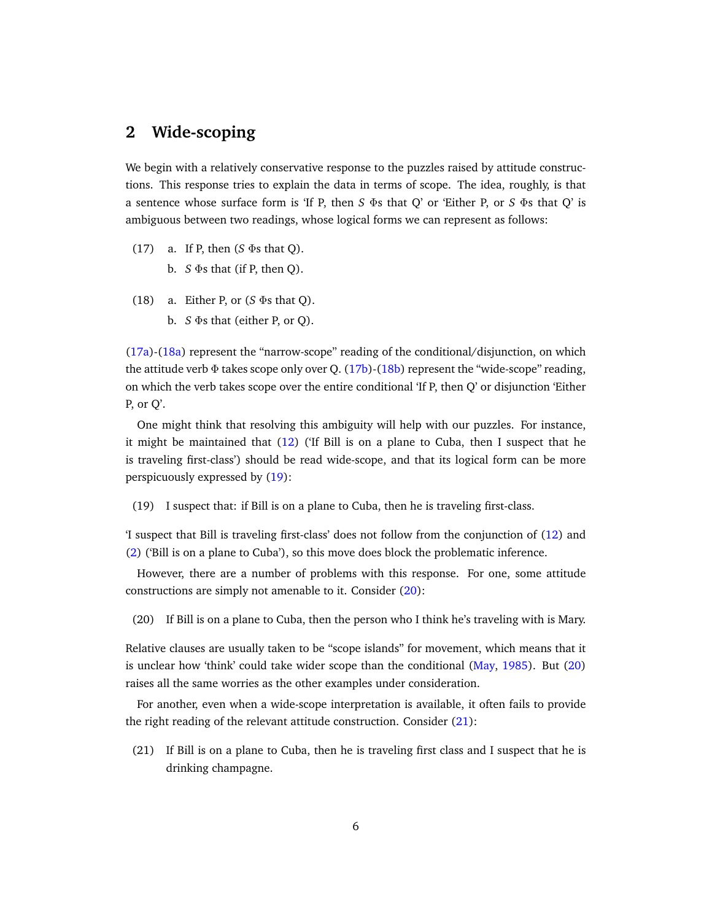# <span id="page-5-0"></span>**2 Wide-scoping**

We begin with a relatively conservative response to the puzzles raised by attitude constructions. This response tries to explain the data in terms of scope. The idea, roughly, is that a sentence whose surface form is 'If P, then *S* Φs that Q' or 'Either P, or *S* Φs that Q' is ambiguous between two readings, whose logical forms we can represent as follows:

- <span id="page-5-3"></span><span id="page-5-1"></span>(17) a. If P, then (*S* Φs that Q).
	- b. *S* Φs that (if P, then Q).
- <span id="page-5-4"></span><span id="page-5-2"></span>(18) a. Either P, or (*S* Φs that Q).
	- b. *S* Φs that (either P, or Q).

[\(17a\)](#page-5-1)-[\(18a\)](#page-5-2) represent the "narrow-scope" reading of the conditional/disjunction, on which the attitude verb  $\Phi$  takes scope only over Q. [\(17b\)](#page-5-3)-[\(18b\)](#page-5-4) represent the "wide-scope" reading, on which the verb takes scope over the entire conditional 'If P, then Q' or disjunction 'Either P, or Q'.

One might think that resolving this ambiguity will help with our puzzles. For instance, it might be maintained that [\(12\)](#page-3-0) ('If Bill is on a plane to Cuba, then I suspect that he is traveling first-class') should be read wide-scope, and that its logical form can be more perspicuously expressed by [\(19\)](#page-5-5):

<span id="page-5-5"></span>(19) I suspect that: if Bill is on a plane to Cuba, then he is traveling first-class.

'I suspect that Bill is traveling first-class' does not follow from the conjunction of [\(12\)](#page-3-0) and [\(2\)](#page-1-1) ('Bill is on a plane to Cuba'), so this move does block the problematic inference.

However, there are a number of problems with this response. For one, some attitude constructions are simply not amenable to it. Consider [\(20\)](#page-5-6):

<span id="page-5-6"></span>(20) If Bill is on a plane to Cuba, then the person who I think he's traveling with is Mary.

Relative clauses are usually taken to be "scope islands" for movement, which means that it is unclear how 'think' could take wider scope than the conditional [\(May,](#page-32-4) [1985\)](#page-32-4). But [\(20\)](#page-5-6) raises all the same worries as the other examples under consideration.

For another, even when a wide-scope interpretation is available, it often fails to provide the right reading of the relevant attitude construction. Consider [\(21\)](#page-5-7):

<span id="page-5-7"></span>(21) If Bill is on a plane to Cuba, then he is traveling first class and I suspect that he is drinking champagne.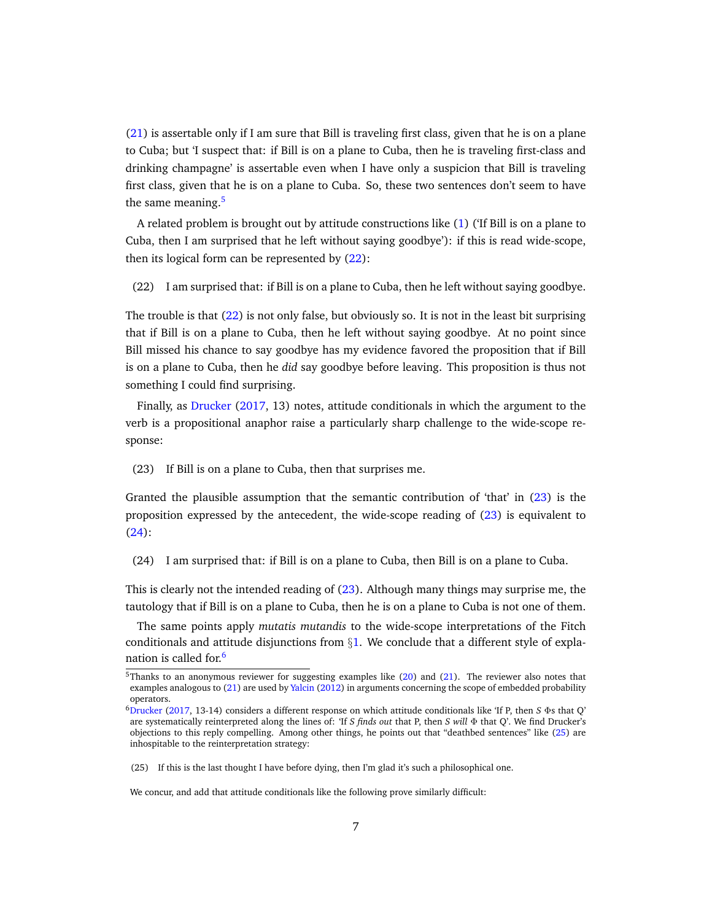[\(21\)](#page-5-7) is assertable only if I am sure that Bill is traveling first class, given that he is on a plane to Cuba; but 'I suspect that: if Bill is on a plane to Cuba, then he is traveling first-class and drinking champagne' is assertable even when I have only a suspicion that Bill is traveling first class, given that he is on a plane to Cuba. So, these two sentences don't seem to have the same meaning. $5$ 

A related problem is brought out by attitude constructions like [\(1\)](#page-1-0) ('If Bill is on a plane to Cuba, then I am surprised that he left without saying goodbye'): if this is read wide-scope, then its logical form can be represented by [\(22\)](#page-6-1):

<span id="page-6-1"></span>(22) I am surprised that: if Bill is on a plane to Cuba, then he left without saying goodbye.

The trouble is that [\(22\)](#page-6-1) is not only false, but obviously so. It is not in the least bit surprising that if Bill is on a plane to Cuba, then he left without saying goodbye. At no point since Bill missed his chance to say goodbye has my evidence favored the proposition that if Bill is on a plane to Cuba, then he *did* say goodbye before leaving. This proposition is thus not something I could find surprising.

Finally, as [Drucker](#page-32-2) [\(2017,](#page-32-2) 13) notes, attitude conditionals in which the argument to the verb is a propositional anaphor raise a particularly sharp challenge to the wide-scope response:

<span id="page-6-2"></span>(23) If Bill is on a plane to Cuba, then that surprises me.

Granted the plausible assumption that the semantic contribution of 'that' in [\(23\)](#page-6-2) is the proposition expressed by the antecedent, the wide-scope reading of [\(23\)](#page-6-2) is equivalent to [\(24\)](#page-6-3):

<span id="page-6-3"></span>(24) I am surprised that: if Bill is on a plane to Cuba, then Bill is on a plane to Cuba.

This is clearly not the intended reading of [\(23\)](#page-6-2). Although many things may surprise me, the tautology that if Bill is on a plane to Cuba, then he is on a plane to Cuba is not one of them.

The same points apply *mutatis mutandis* to the wide-scope interpretations of the Fitch conditionals and attitude disjunctions from  $\S1$ . We conclude that a different style of expla-nation is called for.<sup>[6](#page-6-4)</sup>

We concur, and add that attitude conditionals like the following prove similarly difficult:

<span id="page-6-0"></span> $5$ Thanks to an anonymous reviewer for suggesting examples like [\(20\)](#page-5-6) and [\(21\)](#page-5-7). The reviewer also notes that examples analogous to [\(21\)](#page-5-7) are used by [Yalcin](#page-33-0) [\(2012\)](#page-33-0) in arguments concerning the scope of embedded probability operators.

<span id="page-6-4"></span><sup>6</sup>[Drucker](#page-32-2) [\(2017,](#page-32-2) 13-14) considers a different response on which attitude conditionals like 'If P, then *S* Φs that Q' are systematically reinterpreted along the lines of: 'If *S finds out* that P, then *S will* Φ that Q'. We find Drucker's objections to this reply compelling. Among other things, he points out that "deathbed sentences" like [\(25\)](#page-6-5) are inhospitable to the reinterpretation strategy:

<span id="page-6-5"></span><sup>(25)</sup> If this is the last thought I have before dying, then I'm glad it's such a philosophical one.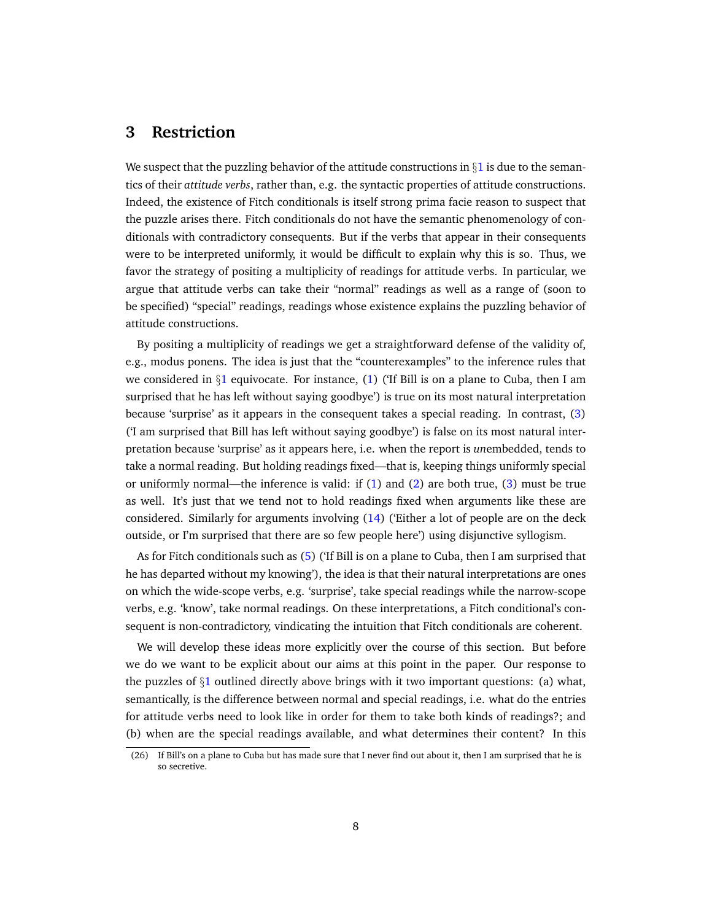### <span id="page-7-0"></span>**3 Restriction**

We suspect that the puzzling behavior of the attitude constructions in  $\S1$  $\S1$  is due to the semantics of their *attitude verbs*, rather than, e.g. the syntactic properties of attitude constructions. Indeed, the existence of Fitch conditionals is itself strong prima facie reason to suspect that the puzzle arises there. Fitch conditionals do not have the semantic phenomenology of conditionals with contradictory consequents. But if the verbs that appear in their consequents were to be interpreted uniformly, it would be difficult to explain why this is so. Thus, we favor the strategy of positing a multiplicity of readings for attitude verbs. In particular, we argue that attitude verbs can take their "normal" readings as well as a range of (soon to be specified) "special" readings, readings whose existence explains the puzzling behavior of attitude constructions.

By positing a multiplicity of readings we get a straightforward defense of the validity of, e.g., modus ponens. The idea is just that the "counterexamples" to the inference rules that we considered in  $\S1$  $\S1$  equivocate. For instance, [\(1\)](#page-1-0) ('If Bill is on a plane to Cuba, then I am surprised that he has left without saying goodbye') is true on its most natural interpretation because 'surprise' as it appears in the consequent takes a special reading. In contrast, [\(3\)](#page-1-2) ('I am surprised that Bill has left without saying goodbye') is false on its most natural interpretation because 'surprise' as it appears here, i.e. when the report is *un*embedded, tends to take a normal reading. But holding readings fixed—that is, keeping things uniformly special or uniformly normal—the inference is valid: if [\(1\)](#page-1-0) and [\(2\)](#page-1-1) are both true, [\(3\)](#page-1-2) must be true as well. It's just that we tend not to hold readings fixed when arguments like these are considered. Similarly for arguments involving [\(14\)](#page-3-2) ('Either a lot of people are on the deck outside, or I'm surprised that there are so few people here') using disjunctive syllogism.

As for Fitch conditionals such as [\(5\)](#page-1-6) ('If Bill is on a plane to Cuba, then I am surprised that he has departed without my knowing'), the idea is that their natural interpretations are ones on which the wide-scope verbs, e.g. 'surprise', take special readings while the narrow-scope verbs, e.g. 'know', take normal readings. On these interpretations, a Fitch conditional's consequent is non-contradictory, vindicating the intuition that Fitch conditionals are coherent.

We will develop these ideas more explicitly over the course of this section. But before we do we want to be explicit about our aims at this point in the paper. Our response to the puzzles of  $\S1$  $\S1$  outlined directly above brings with it two important questions: (a) what, semantically, is the difference between normal and special readings, i.e. what do the entries for attitude verbs need to look like in order for them to take both kinds of readings?; and (b) when are the special readings available, and what determines their content? In this

<sup>(26)</sup> If Bill's on a plane to Cuba but has made sure that I never find out about it, then I am surprised that he is so secretive.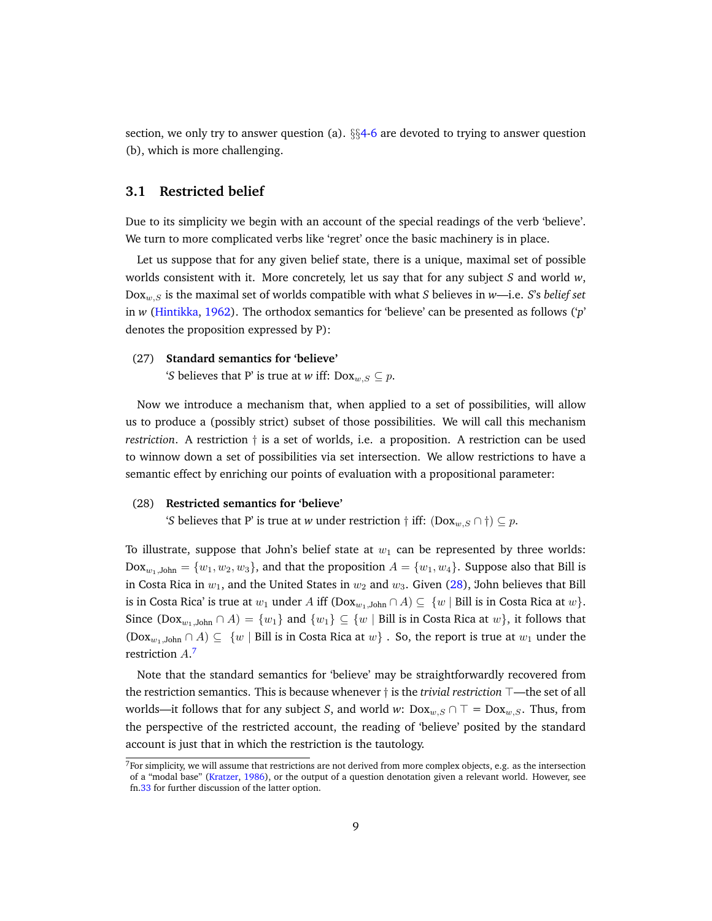section, we only try to answer question (a).  $\S$ <sup>4</sup>-[6](#page-23-0) are devoted to trying to answer question (b), which is more challenging.

### **3.1 Restricted belief**

Due to its simplicity we begin with an account of the special readings of the verb 'believe'. We turn to more complicated verbs like 'regret' once the basic machinery is in place.

Let us suppose that for any given belief state, there is a unique, maximal set of possible worlds consistent with it. More concretely, let us say that for any subject *S* and world *w*, Doxw,S is the maximal set of worlds compatible with what *S* believes in *w*—i.e. *S*'s *belief set* in *w* [\(Hintikka,](#page-32-5) [1962\)](#page-32-5). The orthodox semantics for 'believe' can be presented as follows ('*p*' denotes the proposition expressed by P):

#### (27) **Standard semantics for 'believe'**

*'S* believes that P' is true at *w* iff:  $\text{Dox}_{w,S} \subseteq p$ .

Now we introduce a mechanism that, when applied to a set of possibilities, will allow us to produce a (possibly strict) subset of those possibilities. We will call this mechanism *restriction*. A restriction  $\dagger$  is a set of worlds, i.e. a proposition. A restriction can be used to winnow down a set of possibilities via set intersection. We allow restrictions to have a semantic effect by enriching our points of evaluation with a propositional parameter:

#### <span id="page-8-0"></span>(28) **Restricted semantics for 'believe'**

*'S* believes that P' is true at *w* under restriction  $\dagger$  iff: (Dox<sub>w,S</sub> ∩  $\dagger$ )  $\subseteq$  *p*.

To illustrate, suppose that John's belief state at  $w_1$  can be represented by three worlds:  $\text{Dox}_{w_1,\text{John}} = \{w_1, w_2, w_3\}$ , and that the proposition  $A = \{w_1, w_4\}$ . Suppose also that Bill is in Costa Rica in  $w_1$ , and the United States in  $w_2$  and  $w_3$ . Given [\(28\)](#page-8-0), John believes that Bill is in Costa Rica' is true at  $w_1$  under A iff  $($ Do $x_{w_1, John} \cap A$  $) \subseteq \{w \mid$  Bill is in Costa Rica at  $w$  $\}$ . Since (Dox<sub>w1,John</sub> ∩ A) =  $\{w_1\}$  and  $\{w_1\} \subseteq \{w \mid \text{Bill is in Costa Rica at } w\}$ , it follows that  $(Dox_{w_1,John} \cap A) \subseteq \{w \mid Bill\$ is in Costa Rica at  $w\}$ . So, the report is true at  $w_1$  under the restriction A. [7](#page-8-1)

Note that the standard semantics for 'believe' may be straightforwardly recovered from the restriction semantics. This is because whenever  $\dagger$  is the *trivial restriction*  $\top$ —the set of all worlds—it follows that for any subject *S*, and world *w*:  $Dox_{w,S} \cap T = Dox_{w,S}$ . Thus, from the perspective of the restricted account, the reading of 'believe' posited by the standard account is just that in which the restriction is the tautology.

<span id="page-8-1"></span> $<sup>7</sup>$  For simplicity, we will assume that restrictions are not derived from more complex objects, e.g. as the intersection</sup> of a "modal base" [\(Kratzer,](#page-32-6) [1986\)](#page-32-6), or the output of a question denotation given a relevant world. However, see fn[.33](#page-29-0) for further discussion of the latter option.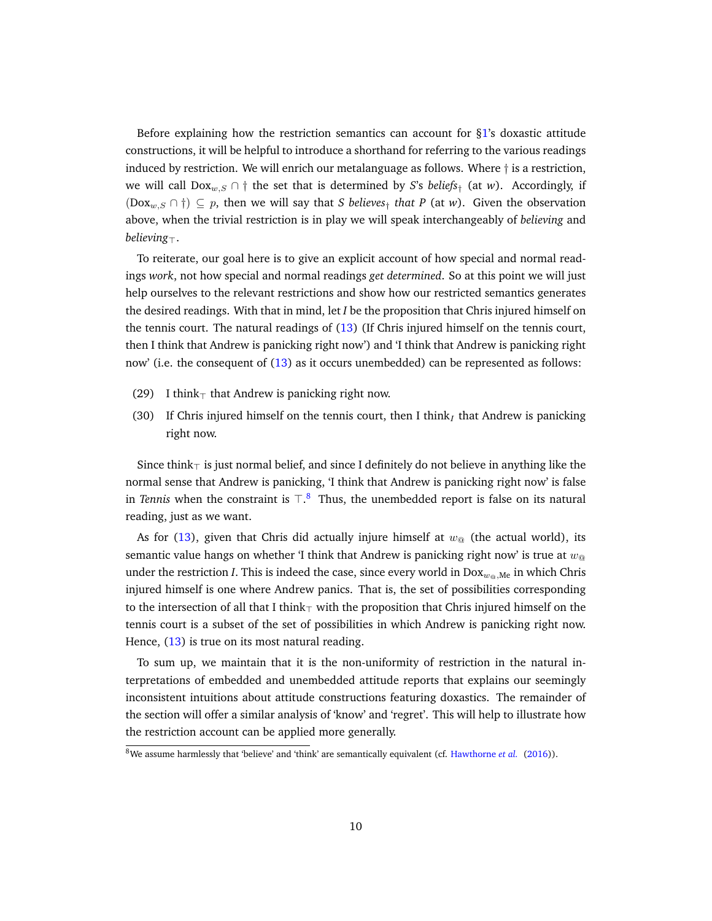Before explaining how the restriction semantics can account for [§1'](#page-0-0)s doxastic attitude constructions, it will be helpful to introduce a shorthand for referring to the various readings induced by restriction. We will enrich our metalanguage as follows. Where  $\dagger$  is a restriction, we will call  $Dox_{w,S} \cap \dagger$  the set that is determined by *S*'s *beliefs*<sub>†</sub> (at *w*). Accordingly, if  $(Dox_{w,S} \cap \dagger) \subseteq p$ , then we will say that *S believes*<sub>†</sub> *that P* (at *w*). Given the observation above, when the trivial restriction is in play we will speak interchangeably of *believing* and *believing*>.

To reiterate, our goal here is to give an explicit account of how special and normal readings *work*, not how special and normal readings *get determined*. So at this point we will just help ourselves to the relevant restrictions and show how our restricted semantics generates the desired readings. With that in mind, let *I* be the proposition that Chris injured himself on the tennis court. The natural readings of [\(13\)](#page-3-1) (If Chris injured himself on the tennis court, then I think that Andrew is panicking right now') and 'I think that Andrew is panicking right now' (i.e. the consequent of [\(13\)](#page-3-1) as it occurs unembedded) can be represented as follows:

- (29) I think $<sub>T</sub>$  that Andrew is panicking right now.</sub>
- (30) If Chris injured himself on the tennis court, then I think<sub>I</sub> that Andrew is panicking right now.

Since think $<sub>T</sub>$  is just normal belief, and since I definitely do not believe in anything like the</sub> normal sense that Andrew is panicking, 'I think that Andrew is panicking right now' is false in *Tennis* when the constraint is  $\top$ .<sup>[8](#page-9-0)</sup> Thus, the unembedded report is false on its natural reading, just as we want.

As for [\(13\)](#page-3-1), given that Chris did actually injure himself at  $w_{\mathcal{Q}}$  (the actual world), its semantic value hangs on whether 'I think that Andrew is panicking right now' is true at  $w_{\mathcal{Q}}$ under the restriction *I*. This is indeed the case, since every world in  $\text{Dox}_{w_{\alpha},\text{Me}}$  in which Chris injured himself is one where Andrew panics. That is, the set of possibilities corresponding to the intersection of all that I think $<sub>T</sub>$  with the proposition that Chris injured himself on the</sub> tennis court is a subset of the set of possibilities in which Andrew is panicking right now. Hence,  $(13)$  is true on its most natural reading.

To sum up, we maintain that it is the non-uniformity of restriction in the natural interpretations of embedded and unembedded attitude reports that explains our seemingly inconsistent intuitions about attitude constructions featuring doxastics. The remainder of the section will offer a similar analysis of 'know' and 'regret'. This will help to illustrate how the restriction account can be applied more generally.

<span id="page-9-0"></span><sup>8</sup>We assume harmlessly that 'believe' and 'think' are semantically equivalent (cf. [Hawthorne](#page-32-7) *et al.* [\(2016\)](#page-32-7)).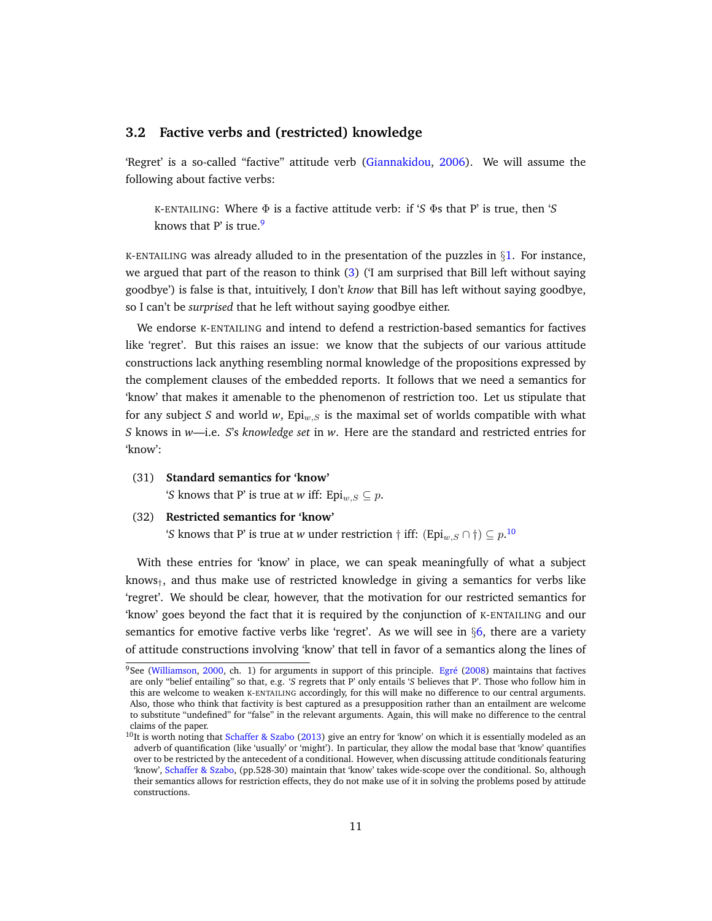#### **3.2 Factive verbs and (restricted) knowledge**

'Regret' is a so-called "factive" attitude verb [\(Giannakidou,](#page-32-8) [2006\)](#page-32-8). We will assume the following about factive verbs:

K-ENTAILING: Where Φ is a factive attitude verb: if '*S* Φs that P' is true, then '*S* knows that P' is true. $9$ 

K-ENTAILING was already alluded to in the presentation of the puzzles in  $\S1$ . For instance, we argued that part of the reason to think [\(3\)](#page-1-2) ('I am surprised that Bill left without saying goodbye') is false is that, intuitively, I don't *know* that Bill has left without saying goodbye, so I can't be *surprised* that he left without saying goodbye either.

We endorse K-ENTAILING and intend to defend a restriction-based semantics for factives like 'regret'. But this raises an issue: we know that the subjects of our various attitude constructions lack anything resembling normal knowledge of the propositions expressed by the complement clauses of the embedded reports. It follows that we need a semantics for 'know' that makes it amenable to the phenomenon of restriction too. Let us stipulate that for any subject *S* and world  $w$ , Epi $_{w,S}$  is the maximal set of worlds compatible with what *S* knows in *w*—i.e. *S*'s *knowledge set* in *w*. Here are the standard and restricted entries for 'know':

(31) **Standard semantics for 'know'**

*'S* knows that P' is true at *w* iff: Epi<sub>*w*, *S*  $\subseteq$  *p*.</sub>

<span id="page-10-2"></span>(32) **Restricted semantics for 'know'** *'S* knows that P' is true at *w* under restriction † iff: (Epi $_{w,S} \cap \dagger) \subseteq p$ .<sup>[10](#page-10-1)</sup>

With these entries for 'know' in place, we can speak meaningfully of what a subject knows $_{\dagger}$ , and thus make use of restricted knowledge in giving a semantics for verbs like 'regret'. We should be clear, however, that the motivation for our restricted semantics for 'know' goes beyond the fact that it is required by the conjunction of K-ENTAILING and our semantics for emotive factive verbs like 'regret'. As we will see in  $\S6$ , there are a variety of attitude constructions involving 'know' that tell in favor of a semantics along the lines of

<span id="page-10-0"></span><sup>&</sup>lt;sup>9</sup>See [\(Williamson,](#page-33-1) [2000,](#page-33-1) ch. 1) for arguments in support of this principle. Egré [\(2008\)](#page-32-9) maintains that factives are only "belief entailing" so that, e.g. '*S* regrets that P' only entails '*S* believes that P'. Those who follow him in this are welcome to weaken K-ENTAILING accordingly, for this will make no difference to our central arguments. Also, those who think that factivity is best captured as a presupposition rather than an entailment are welcome to substitute "undefined" for "false" in the relevant arguments. Again, this will make no difference to the central claims of the paper.

<span id="page-10-1"></span> $10$ It is worth noting that [Schaffer & Szabo](#page-33-2) [\(2013\)](#page-33-2) give an entry for 'know' on which it is essentially modeled as an adverb of quantification (like 'usually' or 'might'). In particular, they allow the modal base that 'know' quantifies over to be restricted by the antecedent of a conditional. However, when discussing attitude conditionals featuring 'know', [Schaffer & Szabo,](#page-33-2) (pp.528-30) maintain that 'know' takes wide-scope over the conditional. So, although their semantics allows for restriction effects, they do not make use of it in solving the problems posed by attitude constructions.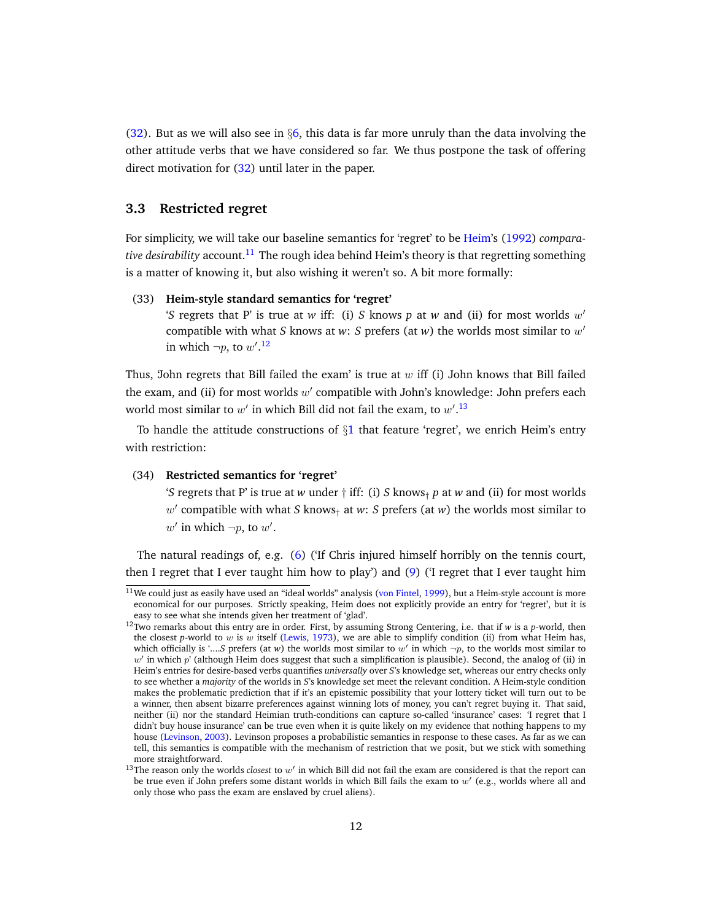[\(32\)](#page-10-2). But as we will also see in  $\S6$ , this data is far more unruly than the data involving the other attitude verbs that we have considered so far. We thus postpone the task of offering direct motivation for [\(32\)](#page-10-2) until later in the paper.

#### <span id="page-11-3"></span>**3.3 Restricted regret**

For simplicity, we will take our baseline semantics for 'regret' to be [Heim'](#page-32-10)s [\(1992\)](#page-32-10) *compara-*tive desirability account.<sup>[11](#page-11-0)</sup> The rough idea behind Heim's theory is that regretting something is a matter of knowing it, but also wishing it weren't so. A bit more formally:

#### (33) **Heim-style standard semantics for 'regret'**

'*S* regrets that P' is true at *w* iff: (i) *S* knows *p* at *w* and (ii) for most worlds w 0 compatible with what *S* knows at *w*: *S* prefers (at *w*) the worlds most similar to w' in which  $\neg p$ , to  $w'.^{12}$  $w'.^{12}$  $w'.^{12}$ 

Thus, 'John regrets that Bill failed the exam' is true at  $w$  iff (i) John knows that Bill failed the exam, and (ii) for most worlds  $w'$  compatible with John's knowledge: John prefers each world most similar to  $w'$  in which Bill did not fail the exam, to  $w'$ .<sup>[13](#page-11-2)</sup>

To handle the attitude constructions of  $\S1$  $\S1$  that feature 'regret', we enrich Heim's entry with restriction:

#### (34) **Restricted semantics for 'regret'**

'*S* regrets that P' is true at *w* under  $\dagger$  iff: (i) *S* knows<sub> $\dagger$ </sub> *p* at *w* and (ii) for most worlds w' compatible with what *S* knows<sub>†</sub> at *w*: *S* prefers (at *w*) the worlds most similar to  $w'$  in which  $\neg p$ , to  $w'$ .

The natural readings of, e.g. [\(6\)](#page-2-0) ('If Chris injured himself horribly on the tennis court, then I regret that I ever taught him how to play') and [\(9\)](#page-2-3) ('I regret that I ever taught him

<span id="page-11-0"></span> $11$ We could just as easily have used an "ideal worlds" analysis [\(von Fintel,](#page-33-3) [1999\)](#page-33-3), but a Heim-style account is more economical for our purposes. Strictly speaking, Heim does not explicitly provide an entry for 'regret', but it is easy to see what she intends given her treatment of 'glad'.

<span id="page-11-1"></span><sup>&</sup>lt;sup>12</sup>Two remarks about this entry are in order. First, by assuming Strong Centering, i.e. that if  $w$  is a *p*-world, then the closest *p*-world to w is w itself [\(Lewis,](#page-32-11) [1973\)](#page-32-11), we are able to simplify condition (ii) from what Heim has, which officially is '....*S* prefers (at *w*) the worlds most similar to w' in which  $\neg p$ , to the worlds most similar to  $w'$  in which  $p'$  (although Heim does suggest that such a simplification is plausible). Second, the analog of (ii) in Heim's entries for desire-based verbs quantifies *universally* over *S*'s knowledge set, whereas our entry checks only to see whether a *majority* of the worlds in *S*'s knowledge set meet the relevant condition. A Heim-style condition makes the problematic prediction that if it's an epistemic possibility that your lottery ticket will turn out to be a winner, then absent bizarre preferences against winning lots of money, you can't regret buying it. That said, neither (ii) nor the standard Heimian truth-conditions can capture so-called 'insurance' cases: 'I regret that I didn't buy house insurance' can be true even when it is quite likely on my evidence that nothing happens to my house [\(Levinson,](#page-32-12) [2003\)](#page-32-12). Levinson proposes a probabilistic semantics in response to these cases. As far as we can tell, this semantics is compatible with the mechanism of restriction that we posit, but we stick with something more straightforward.

<span id="page-11-2"></span> $^{13}$ The reason only the worlds *closest* to  $w'$  in which Bill did not fail the exam are considered is that the report can be true even if John prefers some distant worlds in which Bill fails the exam to  $w'$  (e.g., worlds where all and only those who pass the exam are enslaved by cruel aliens).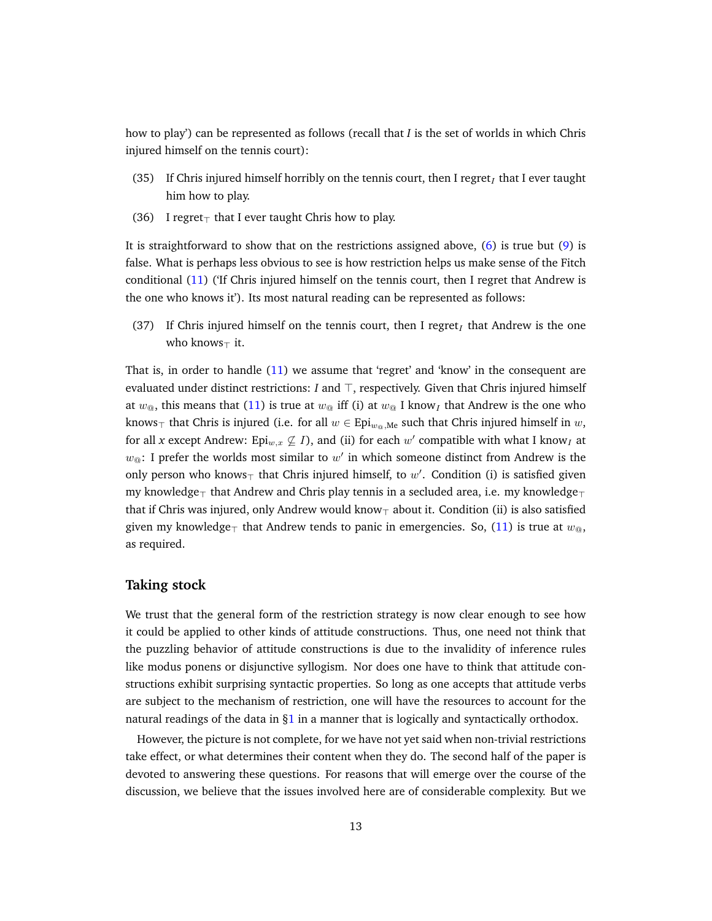how to play') can be represented as follows (recall that *I* is the set of worlds in which Chris injured himself on the tennis court):

- (35) If Chris injured himself horribly on the tennis court, then I regret $_I$  that I ever taught him how to play.
- (36) I regret $<sub>T</sub>$  that I ever taught Chris how to play.</sub>

It is straightforward to show that on the restrictions assigned above, [\(6\)](#page-2-0) is true but [\(9\)](#page-2-3) is false. What is perhaps less obvious to see is how restriction helps us make sense of the Fitch conditional [\(11\)](#page-2-5) ('If Chris injured himself on the tennis court, then I regret that Andrew is the one who knows it'). Its most natural reading can be represented as follows:

(37) If Chris injured himself on the tennis court, then I regret<sub>I</sub> that Andrew is the one who knows $<sub>\top</sub>$  it.</sub>

That is, in order to handle [\(11\)](#page-2-5) we assume that 'regret' and 'know' in the consequent are evaluated under distinct restrictions: *I* and  $\top$ , respectively. Given that Chris injured himself at  $w_{\mathfrak{A}}$ , this means that [\(11\)](#page-2-5) is true at  $w_{\mathfrak{A}}$  iff (i) at  $w_{\mathfrak{A}}$  I know<sub>I</sub> that Andrew is the one who knows<sub> $\top$ </sub> that Chris is injured (i.e. for all  $w \in \text{Epi}_{w_{\text{on}}M_{\text{e}}}$  such that Chris injured himself in  $w$ , for all *x* except Andrew: Epi $_{w,x} \not\subseteq I$ ), and (ii) for each  $w'$  compatible with what I know<sub>I</sub> at  $w_{\mathfrak{S}}$ : I prefer the worlds most similar to  $w'$  in which someone distinct from Andrew is the only person who knows<sub> $\top$ </sub> that Chris injured himself, to  $w'$ . Condition (i) is satisfied given my knowledge<sub> $\tau$ </sub> that Andrew and Chris play tennis in a secluded area, i.e. my knowledge $\tau$ that if Chris was injured, only Andrew would know $<sub>T</sub>$  about it. Condition (ii) is also satisfied</sub> given my knowledge<sub> $\top$ </sub> that Andrew tends to panic in emergencies. So, [\(11\)](#page-2-5) is true at  $w_{\text{\textcircled{\tiny Q}}},$ as required.

### **Taking stock**

We trust that the general form of the restriction strategy is now clear enough to see how it could be applied to other kinds of attitude constructions. Thus, one need not think that the puzzling behavior of attitude constructions is due to the invalidity of inference rules like modus ponens or disjunctive syllogism. Nor does one have to think that attitude constructions exhibit surprising syntactic properties. So long as one accepts that attitude verbs are subject to the mechanism of restriction, one will have the resources to account for the natural readings of the data in  $\S1$  in a manner that is logically and syntactically orthodox.

However, the picture is not complete, for we have not yet said when non-trivial restrictions take effect, or what determines their content when they do. The second half of the paper is devoted to answering these questions. For reasons that will emerge over the course of the discussion, we believe that the issues involved here are of considerable complexity. But we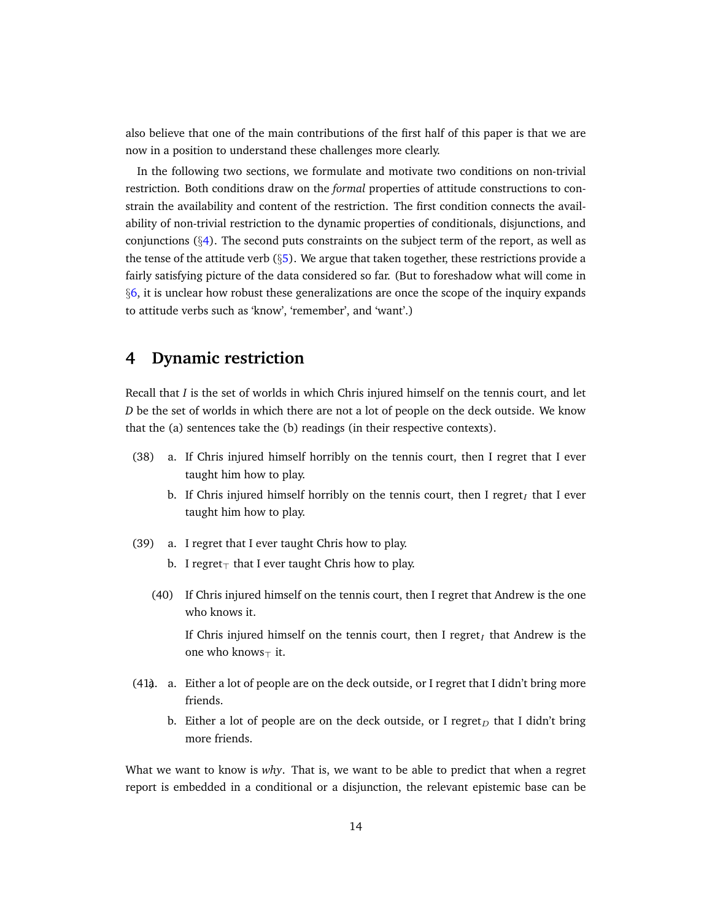also believe that one of the main contributions of the first half of this paper is that we are now in a position to understand these challenges more clearly.

In the following two sections, we formulate and motivate two conditions on non-trivial restriction. Both conditions draw on the *formal* properties of attitude constructions to constrain the availability and content of the restriction. The first condition connects the availability of non-trivial restriction to the dynamic properties of conditionals, disjunctions, and conjunctions (§[4\)](#page-13-0). The second puts constraints on the subject term of the report, as well as the tense of the attitude verb  $(\S5)$  $(\S5)$ . We argue that taken together, these restrictions provide a fairly satisfying picture of the data considered so far. (But to foreshadow what will come in §[6,](#page-23-0) it is unclear how robust these generalizations are once the scope of the inquiry expands to attitude verbs such as 'know', 'remember', and 'want'.)

# <span id="page-13-0"></span>**4 Dynamic restriction**

Recall that *I* is the set of worlds in which Chris injured himself on the tennis court, and let *D* be the set of worlds in which there are not a lot of people on the deck outside. We know that the (a) sentences take the (b) readings (in their respective contexts).

- <span id="page-13-1"></span>(38) a. If Chris injured himself horribly on the tennis court, then I regret that I ever taught him how to play.
	- b. If Chris injured himself horribly on the tennis court, then I regret<sub>I</sub> that I ever taught him how to play.
- <span id="page-13-4"></span><span id="page-13-3"></span>(39) a. I regret that I ever taught Chris how to play.
	- b. I regret $<sub>T</sub>$  that I ever taught Chris how to play.</sub>
	- (40) If Chris injured himself on the tennis court, then I regret that Andrew is the one who knows it.

If Chris injured himself on the tennis court, then I regret<sub>I</sub> that Andrew is the one who knows $<sub>+</sub>$  it.</sub>

- <span id="page-13-2"></span>(41 $\hat{a}$ . a. Either a lot of people are on the deck outside, or I regret that I didn't bring more friends.
	- b. Either a lot of people are on the deck outside, or I regret $_D$  that I didn't bring more friends.

What we want to know is *why*. That is, we want to be able to predict that when a regret report is embedded in a conditional or a disjunction, the relevant epistemic base can be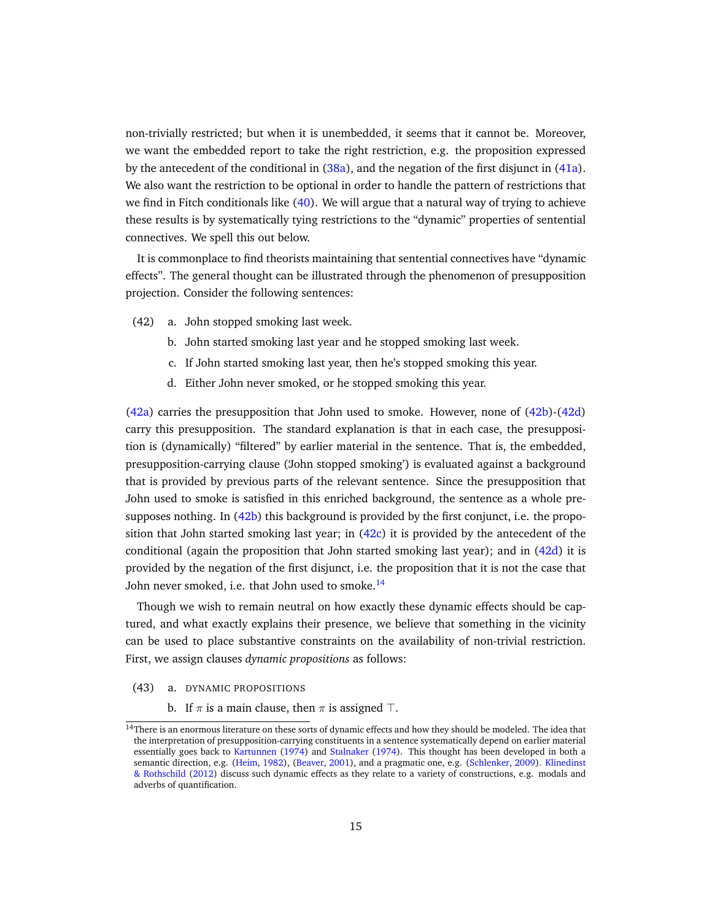non-trivially restricted; but when it is unembedded, it seems that it cannot be. Moreover, we want the embedded report to take the right restriction, e.g. the proposition expressed by the antecedent of the conditional in [\(38a\)](#page-13-1), and the negation of the first disjunct in [\(41a\)](#page-13-2). We also want the restriction to be optional in order to handle the pattern of restrictions that we find in Fitch conditionals like  $(40)$ . We will argue that a natural way of trying to achieve these results is by systematically tying restrictions to the "dynamic" properties of sentential connectives. We spell this out below.

It is commonplace to find theorists maintaining that sentential connectives have "dynamic effects". The general thought can be illustrated through the phenomenon of presupposition projection. Consider the following sentences:

- <span id="page-14-3"></span><span id="page-14-1"></span><span id="page-14-0"></span>(42) a. John stopped smoking last week.
	- b. John started smoking last year and he stopped smoking last week.
	- c. If John started smoking last year, then he's stopped smoking this year.
	- d. Either John never smoked, or he stopped smoking this year.

<span id="page-14-2"></span>[\(42a\)](#page-14-0) carries the presupposition that John used to smoke. However, none of [\(42b\)](#page-14-1)-[\(42d\)](#page-14-2) carry this presupposition. The standard explanation is that in each case, the presupposition is (dynamically) "filtered" by earlier material in the sentence. That is, the embedded, presupposition-carrying clause ('John stopped smoking') is evaluated against a background that is provided by previous parts of the relevant sentence. Since the presupposition that John used to smoke is satisfied in this enriched background, the sentence as a whole pre-supposes nothing. In [\(42b\)](#page-14-1) this background is provided by the first conjunct, i.e. the proposition that John started smoking last year; in [\(42c\)](#page-14-3) it is provided by the antecedent of the conditional (again the proposition that John started smoking last year); and in [\(42d\)](#page-14-2) it is provided by the negation of the first disjunct, i.e. the proposition that it is not the case that John never smoked, i.e. that John used to smoke.<sup>[14](#page-14-4)</sup>

Though we wish to remain neutral on how exactly these dynamic effects should be captured, and what exactly explains their presence, we believe that something in the vicinity can be used to place substantive constraints on the availability of non-trivial restriction. First, we assign clauses *dynamic propositions* as follows:

- <span id="page-14-5"></span>(43) a. DYNAMIC PROPOSITIONS
	- b. If  $\pi$  is a main clause, then  $\pi$  is assigned  $\top$ .

<span id="page-14-4"></span><sup>&</sup>lt;sup>14</sup>There is an enormous literature on these sorts of dynamic effects and how they should be modeled. The idea that the interpretation of presupposition-carrying constituents in a sentence systematically depend on earlier material essentially goes back to [Kartunnen](#page-32-13) [\(1974\)](#page-32-13) and [Stalnaker](#page-33-4) [\(1974\)](#page-33-4). This thought has been developed in both a semantic direction, e.g. [\(Heim,](#page-32-14) [1982\)](#page-32-14), [\(Beaver,](#page-32-15) [2001\)](#page-32-15), and a pragmatic one, e.g. [\(Schlenker,](#page-33-5) [2009\)](#page-33-5). [Klinedinst](#page-32-16) [& Rothschild](#page-32-16) [\(2012\)](#page-32-16) discuss such dynamic effects as they relate to a variety of constructions, e.g. modals and adverbs of quantification.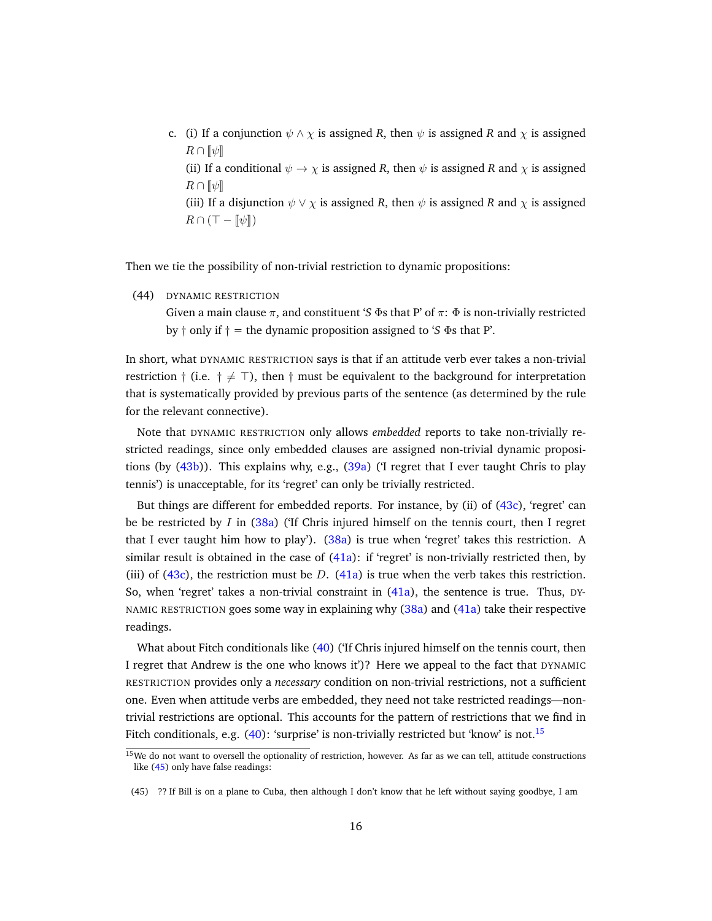<span id="page-15-0"></span>c. (i) If a conjunction  $\psi \wedge \chi$  is assigned *R*, then  $\psi$  is assigned *R* and  $\chi$  is assigned  $R \cap \llbracket \psi \rrbracket$ (ii) If a conditional  $\psi \to \chi$  is assigned *R*, then  $\psi$  is assigned *R* and  $\chi$  is assigned  $R \cap \llbracket \psi \rrbracket$ (iii) If a disjunction  $\psi \vee \chi$  is assigned *R*, then  $\psi$  is assigned *R* and  $\chi$  is assigned  $R \cap (\top - \llbracket \psi \rrbracket)$ 

Then we tie the possibility of non-trivial restriction to dynamic propositions:

(44) DYNAMIC RESTRICTION

Given a main clause  $\pi$ , and constituent *'S*  $\Phi$ s that P' of  $\pi$ :  $\Phi$  is non-trivially restricted by † only if † = the dynamic proposition assigned to '*S* Φs that P'.

In short, what DYNAMIC RESTRICTION says is that if an attitude verb ever takes a non-trivial restriction  $\dagger$  (i.e.  $\dagger \neq \top$ ), then  $\dagger$  must be equivalent to the background for interpretation that is systematically provided by previous parts of the sentence (as determined by the rule for the relevant connective).

Note that DYNAMIC RESTRICTION only allows *embedded* reports to take non-trivially restricted readings, since only embedded clauses are assigned non-trivial dynamic propositions (by [\(43b\)](#page-14-5)). This explains why, e.g., [\(39a\)](#page-13-4) ('I regret that I ever taught Chris to play tennis') is unacceptable, for its 'regret' can only be trivially restricted.

But things are different for embedded reports. For instance, by (ii) of [\(43c\)](#page-15-0), 'regret' can be be restricted by  $I$  in [\(38a\)](#page-13-1) ('If Chris injured himself on the tennis court, then I regret that I ever taught him how to play'). [\(38a\)](#page-13-1) is true when 'regret' takes this restriction. A similar result is obtained in the case of  $(41a)$ : if 'regret' is non-trivially restricted then, by (iii) of  $(43c)$ , the restriction must be D.  $(41a)$  is true when the verb takes this restriction. So, when 'regret' takes a non-trivial constraint in  $(41a)$ , the sentence is true. Thus, DY-NAMIC RESTRICTION goes some way in explaining why  $(38a)$  and  $(41a)$  take their respective readings.

What about Fitch conditionals like [\(40\)](#page-13-3) ('If Chris injured himself on the tennis court, then I regret that Andrew is the one who knows it')? Here we appeal to the fact that DYNAMIC RESTRICTION provides only a *necessary* condition on non-trivial restrictions, not a sufficient one. Even when attitude verbs are embedded, they need not take restricted readings—nontrivial restrictions are optional. This accounts for the pattern of restrictions that we find in Fitch conditionals, e.g.  $(40)$ : 'surprise' is non-trivially restricted but 'know' is not.<sup>[15](#page-15-1)</sup>

<span id="page-15-1"></span> $15$ We do not want to oversell the optionality of restriction, however. As far as we can tell, attitude constructions like [\(45\)](#page-15-2) only have false readings:

<span id="page-15-2"></span><sup>(45)</sup> ?? If Bill is on a plane to Cuba, then although I don't know that he left without saying goodbye, I am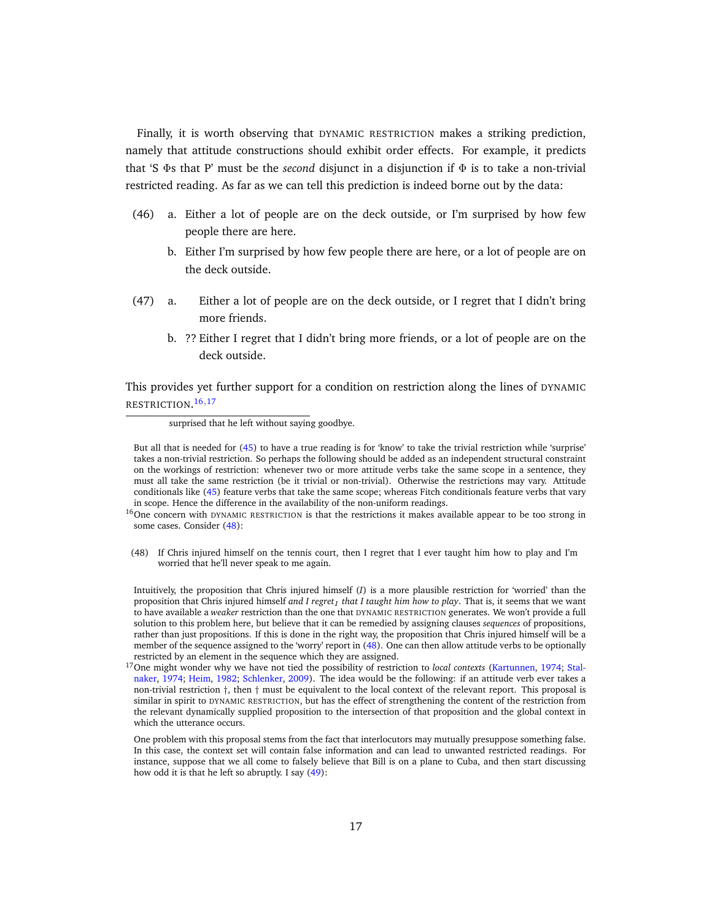Finally, it is worth observing that DYNAMIC RESTRICTION makes a striking prediction, namely that attitude constructions should exhibit order effects. For example, it predicts that 'S Φs that P' must be the *second* disjunct in a disjunction if Φ is to take a non-trivial restricted reading. As far as we can tell this prediction is indeed borne out by the data:

- (46) a. Either a lot of people are on the deck outside, or I'm surprised by how few people there are here.
	- b. Either I'm surprised by how few people there are here, or a lot of people are on the deck outside.
- (47) a. Either a lot of people are on the deck outside, or I regret that I didn't bring more friends.
	- b. ?? Either I regret that I didn't bring more friends, or a lot of people are on the deck outside.

This provides yet further support for a condition on restriction along the lines of DYNAMIC RESTRICTION. [16](#page-16-0),[17](#page-16-1)

But all that is needed for [\(45\)](#page-15-2) to have a true reading is for 'know' to take the trivial restriction while 'surprise' takes a non-trivial restriction. So perhaps the following should be added as an independent structural constraint on the workings of restriction: whenever two or more attitude verbs take the same scope in a sentence, they must all take the same restriction (be it trivial or non-trivial). Otherwise the restrictions may vary. Attitude conditionals like [\(45\)](#page-15-2) feature verbs that take the same scope; whereas Fitch conditionals feature verbs that vary in scope. Hence the difference in the availability of the non-uniform readings.

<span id="page-16-2"></span>(48) If Chris injured himself on the tennis court, then I regret that I ever taught him how to play and I'm worried that he'll never speak to me again.

Intuitively, the proposition that Chris injured himself (*I*) is a more plausible restriction for 'worried' than the proposition that Chris injured himself *and I regret<sub>I</sub>* that I taught him how to play. That is, it seems that we want to have available a *weaker* restriction than the one that DYNAMIC RESTRICTION generates. We won't provide a full solution to this problem here, but believe that it can be remedied by assigning clauses *sequences* of propositions, rather than just propositions. If this is done in the right way, the proposition that Chris injured himself will be a member of the sequence assigned to the 'worry' report in [\(48\)](#page-16-2). One can then allow attitude verbs to be optionally restricted by an element in the sequence which they are assigned.

surprised that he left without saying goodbye.

<span id="page-16-0"></span><sup>&</sup>lt;sup>16</sup>One concern with DYNAMIC RESTRICTION is that the restrictions it makes available appear to be too strong in some cases. Consider [\(48\)](#page-16-2):

<span id="page-16-1"></span><sup>17</sup>One might wonder why we have not tied the possibility of restriction to *local contexts* [\(Kartunnen,](#page-32-13) [1974;](#page-32-13) [Stal](#page-33-4)[naker,](#page-33-4) [1974;](#page-33-4) [Heim,](#page-32-14) [1982;](#page-32-14) [Schlenker,](#page-33-5) [2009\)](#page-33-5). The idea would be the following: if an attitude verb ever takes a non-trivial restriction †, then † must be equivalent to the local context of the relevant report. This proposal is similar in spirit to DYNAMIC RESTRICTION, but has the effect of strengthening the content of the restriction from the relevant dynamically supplied proposition to the intersection of that proposition and the global context in which the utterance occurs.

<span id="page-16-3"></span>One problem with this proposal stems from the fact that interlocutors may mutually presuppose something false. In this case, the context set will contain false information and can lead to unwanted restricted readings. For instance, suppose that we all come to falsely believe that Bill is on a plane to Cuba, and then start discussing how odd it is that he left so abruptly. I say [\(49\)](#page-16-3):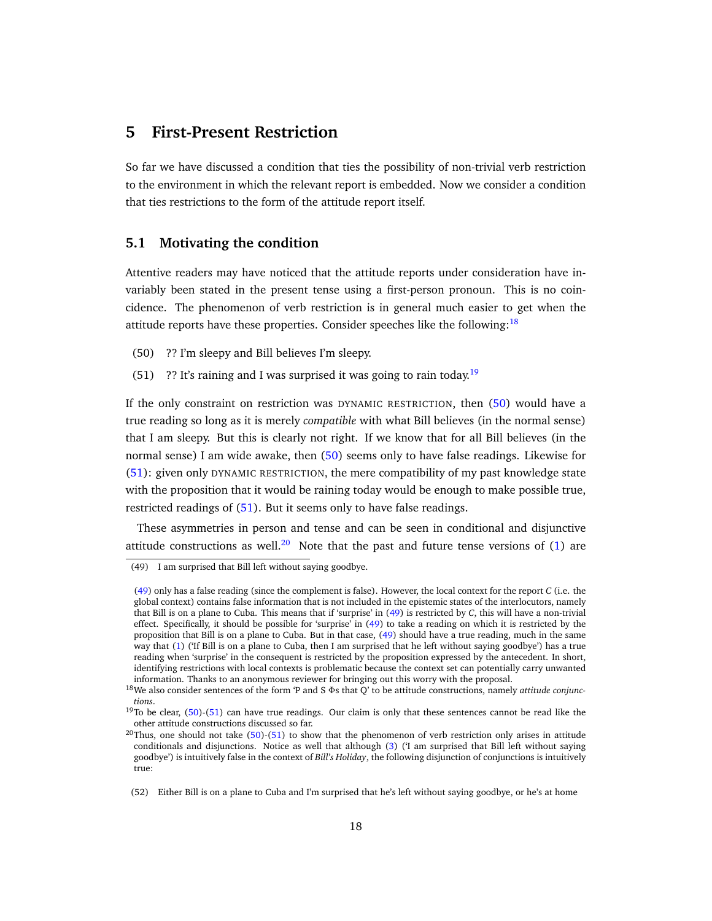# <span id="page-17-0"></span>**5 First-Present Restriction**

So far we have discussed a condition that ties the possibility of non-trivial verb restriction to the environment in which the relevant report is embedded. Now we consider a condition that ties restrictions to the form of the attitude report itself.

### **5.1 Motivating the condition**

Attentive readers may have noticed that the attitude reports under consideration have invariably been stated in the present tense using a first-person pronoun. This is no coincidence. The phenomenon of verb restriction is in general much easier to get when the attitude reports have these properties. Consider speeches like the following:  $18$ 

- <span id="page-17-3"></span>(50) ?? I'm sleepy and Bill believes I'm sleepy.
- <span id="page-17-4"></span>(51) ?? It's raining and I was surprised it was going to rain today.<sup>[19](#page-17-2)</sup>

If the only constraint on restriction was DYNAMIC RESTRICTION, then [\(50\)](#page-17-3) would have a true reading so long as it is merely *compatible* with what Bill believes (in the normal sense) that I am sleepy. But this is clearly not right. If we know that for all Bill believes (in the normal sense) I am wide awake, then [\(50\)](#page-17-3) seems only to have false readings. Likewise for [\(51\)](#page-17-4): given only DYNAMIC RESTRICTION, the mere compatibility of my past knowledge state with the proposition that it would be raining today would be enough to make possible true, restricted readings of  $(51)$ . But it seems only to have false readings.

These asymmetries in person and tense and can be seen in conditional and disjunctive attitude constructions as well.<sup>[20](#page-17-5)</sup> Note that the past and future tense versions of  $(1)$  are

<sup>(49)</sup> I am surprised that Bill left without saying goodbye.

[<sup>\(49\)</sup>](#page-16-3) only has a false reading (since the complement is false). However, the local context for the report *C* (i.e. the global context) contains false information that is not included in the epistemic states of the interlocutors, namely that Bill is on a plane to Cuba. This means that if 'surprise' in [\(49\)](#page-16-3) is restricted by *C*, this will have a non-trivial effect. Specifically, it should be possible for 'surprise' in [\(49\)](#page-16-3) to take a reading on which it is restricted by the proposition that Bill is on a plane to Cuba. But in that case, [\(49\)](#page-16-3) should have a true reading, much in the same way that [\(1\)](#page-1-0) ('If Bill is on a plane to Cuba, then I am surprised that he left without saying goodbye') has a true reading when 'surprise' in the consequent is restricted by the proposition expressed by the antecedent. In short, identifying restrictions with local contexts is problematic because the context set can potentially carry unwanted information. Thanks to an anonymous reviewer for bringing out this worry with the proposal.

<span id="page-17-1"></span><sup>18</sup>We also consider sentences of the form 'P and S Φs that Q' to be attitude constructions, namely *attitude conjunctions*.

<span id="page-17-2"></span> $19$ To be clear, [\(50\)](#page-17-3)-[\(51\)](#page-17-4) can have true readings. Our claim is only that these sentences cannot be read like the other attitude constructions discussed so far.

<span id="page-17-5"></span> $^{20}$ Thus, one should not take [\(50\)](#page-17-3)-[\(51\)](#page-17-4) to show that the phenomenon of verb restriction only arises in attitude conditionals and disjunctions. Notice as well that although [\(3\)](#page-1-2) ('I am surprised that Bill left without saying goodbye') is intuitively false in the context of *Bill's Holiday*, the following disjunction of conjunctions is intuitively true:

<span id="page-17-6"></span><sup>(52)</sup> Either Bill is on a plane to Cuba and I'm surprised that he's left without saying goodbye, or he's at home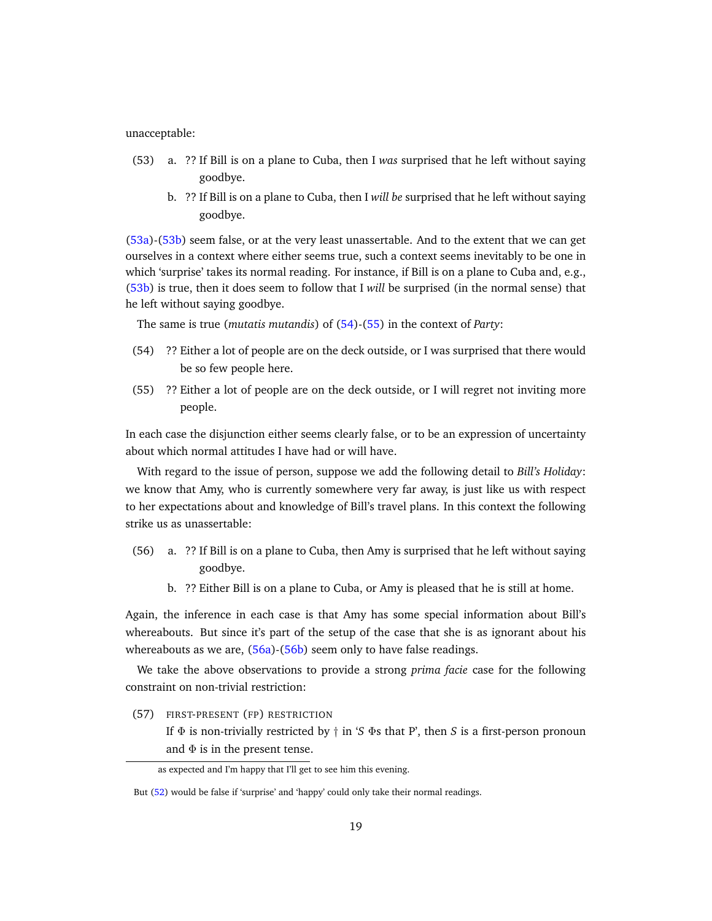#### unacceptable:

- <span id="page-18-1"></span><span id="page-18-0"></span>(53) a. ?? If Bill is on a plane to Cuba, then I *was* surprised that he left without saying goodbye.
	- b. ?? If Bill is on a plane to Cuba, then I *will be* surprised that he left without saying goodbye.

[\(53a\)](#page-18-0)-[\(53b\)](#page-18-1) seem false, or at the very least unassertable. And to the extent that we can get ourselves in a context where either seems true, such a context seems inevitably to be one in which 'surprise' takes its normal reading. For instance, if Bill is on a plane to Cuba and, e.g., [\(53b\)](#page-18-1) is true, then it does seem to follow that I *will* be surprised (in the normal sense) that he left without saying goodbye.

The same is true (*mutatis mutandis*) of [\(54\)](#page-18-2)-[\(55\)](#page-18-3) in the context of *Party*:

- <span id="page-18-2"></span>(54) ?? Either a lot of people are on the deck outside, or I was surprised that there would be so few people here.
- <span id="page-18-3"></span>(55) ?? Either a lot of people are on the deck outside, or I will regret not inviting more people.

In each case the disjunction either seems clearly false, or to be an expression of uncertainty about which normal attitudes I have had or will have.

With regard to the issue of person, suppose we add the following detail to *Bill's Holiday*: we know that Amy, who is currently somewhere very far away, is just like us with respect to her expectations about and knowledge of Bill's travel plans. In this context the following strike us as unassertable:

- <span id="page-18-5"></span><span id="page-18-4"></span>(56) a. ?? If Bill is on a plane to Cuba, then Amy is surprised that he left without saying goodbye.
	- b. ?? Either Bill is on a plane to Cuba, or Amy is pleased that he is still at home.

Again, the inference in each case is that Amy has some special information about Bill's whereabouts. But since it's part of the setup of the case that she is as ignorant about his whereabouts as we are, [\(56a\)](#page-18-4)-[\(56b\)](#page-18-5) seem only to have false readings.

We take the above observations to provide a strong *prima facie* case for the following constraint on non-trivial restriction:

(57) FIRST-PRESENT (FP) RESTRICTION

If Φ is non-trivially restricted by † in '*S* Φs that P', then *S* is a first-person pronoun and  $\Phi$  is in the present tense.

as expected and I'm happy that I'll get to see him this evening.

But [\(52\)](#page-17-6) would be false if 'surprise' and 'happy' could only take their normal readings.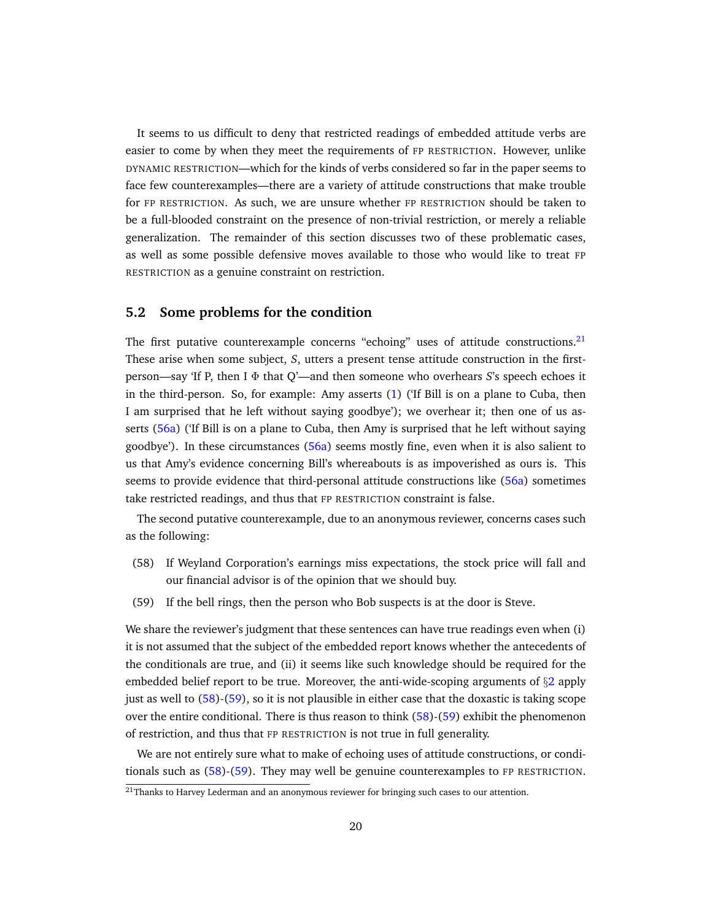It seems to us difficult to deny that restricted readings of embedded attitude verbs are easier to come by when they meet the requirements of FP RESTRICTION. However, unlike DYNAMIC RESTRICTION—which for the kinds of verbs considered so far in the paper seems to face few counterexamples—there are a variety of attitude constructions that make trouble for FP RESTRICTION. As such, we are unsure whether FP RESTRICTION should be taken to be a full-blooded constraint on the presence of non-trivial restriction, or merely a reliable generalization. The remainder of this section discusses two of these problematic cases, as well as some possible defensive moves available to those who would like to treat FP RESTRICTION as a genuine constraint on restriction.

### **5.2 Some problems for the condition**

The first putative counterexample concerns "echoing" uses of attitude constructions.<sup>[21](#page-19-0)</sup> These arise when some subject, *S*, utters a present tense attitude construction in the firstperson—say 'If P, then I Φ that Q'—and then someone who overhears *S*'s speech echoes it in the third-person. So, for example: Amy asserts [\(1\)](#page-1-0) ('If Bill is on a plane to Cuba, then I am surprised that he left without saying goodbye'); we overhear it; then one of us asserts [\(56a\)](#page-18-4) ('If Bill is on a plane to Cuba, then Amy is surprised that he left without saying goodbye'). In these circumstances [\(56a\)](#page-18-4) seems mostly fine, even when it is also salient to us that Amy's evidence concerning Bill's whereabouts is as impoverished as ours is. This seems to provide evidence that third-personal attitude constructions like [\(56a\)](#page-18-4) sometimes take restricted readings, and thus that FP RESTRICTION constraint is false.

The second putative counterexample, due to an anonymous reviewer, concerns cases such as the following:

- <span id="page-19-1"></span>(58) If Weyland Corporation's earnings miss expectations, the stock price will fall and our financial advisor is of the opinion that we should buy.
- <span id="page-19-2"></span>(59) If the bell rings, then the person who Bob suspects is at the door is Steve.

We share the reviewer's judgment that these sentences can have true readings even when (i) it is not assumed that the subject of the embedded report knows whether the antecedents of the conditionals are true, and (ii) it seems like such knowledge should be required for the embedded belief report to be true. Moreover, the anti-wide-scoping arguments of  $\S$ [2](#page-5-0) apply just as well to [\(58\)](#page-19-1)-[\(59\)](#page-19-2), so it is not plausible in either case that the doxastic is taking scope over the entire conditional. There is thus reason to think [\(58\)](#page-19-1)-[\(59\)](#page-19-2) exhibit the phenomenon of restriction, and thus that FP RESTRICTION is not true in full generality.

We are not entirely sure what to make of echoing uses of attitude constructions, or conditionals such as [\(58\)](#page-19-1)-[\(59\)](#page-19-2). They may well be genuine counterexamples to FP RESTRICTION.

<span id="page-19-0"></span> $^{21}$ Thanks to Harvey Lederman and an anonymous reviewer for bringing such cases to our attention.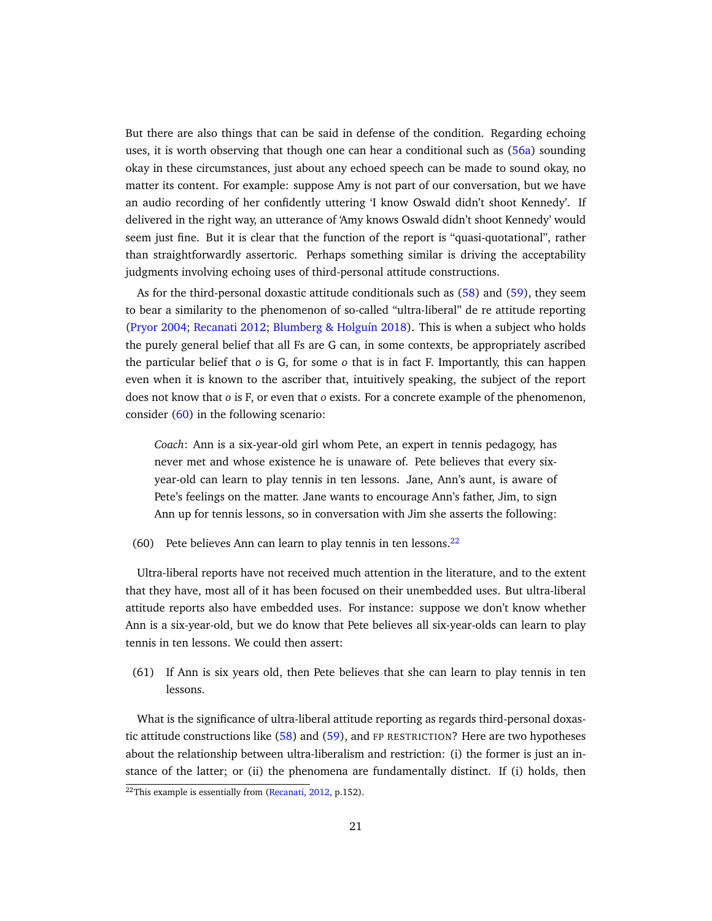But there are also things that can be said in defense of the condition. Regarding echoing uses, it is worth observing that though one can hear a conditional such as [\(56a\)](#page-18-4) sounding okay in these circumstances, just about any echoed speech can be made to sound okay, no matter its content. For example: suppose Amy is not part of our conversation, but we have an audio recording of her confidently uttering 'I know Oswald didn't shoot Kennedy'. If delivered in the right way, an utterance of 'Amy knows Oswald didn't shoot Kennedy' would seem just fine. But it is clear that the function of the report is "quasi-quotational", rather than straightforwardly assertoric. Perhaps something similar is driving the acceptability judgments involving echoing uses of third-personal attitude constructions.

As for the third-personal doxastic attitude conditionals such as [\(58\)](#page-19-1) and [\(59\)](#page-19-2), they seem to bear a similarity to the phenomenon of so-called "ultra-liberal" de re attitude reporting [\(Pryor](#page-33-6) [2004;](#page-33-6) [Recanati](#page-33-7) [2012;](#page-33-7) Blumberg & Holguín [2018\)](#page-32-17). This is when a subject who holds the purely general belief that all Fs are G can, in some contexts, be appropriately ascribed the particular belief that *o* is G, for some *o* that is in fact F. Importantly, this can happen even when it is known to the ascriber that, intuitively speaking, the subject of the report does not know that *o* is F, or even that *o* exists. For a concrete example of the phenomenon, consider [\(60\)](#page-20-0) in the following scenario:

*Coach*: Ann is a six-year-old girl whom Pete, an expert in tennis pedagogy, has never met and whose existence he is unaware of. Pete believes that every sixyear-old can learn to play tennis in ten lessons. Jane, Ann's aunt, is aware of Pete's feelings on the matter. Jane wants to encourage Ann's father, Jim, to sign Ann up for tennis lessons, so in conversation with Jim she asserts the following:

<span id="page-20-0"></span>(60) Pete believes Ann can learn to play tennis in ten lessons.[22](#page-20-1)

Ultra-liberal reports have not received much attention in the literature, and to the extent that they have, most all of it has been focused on their unembedded uses. But ultra-liberal attitude reports also have embedded uses. For instance: suppose we don't know whether Ann is a six-year-old, but we do know that Pete believes all six-year-olds can learn to play tennis in ten lessons. We could then assert:

<span id="page-20-2"></span>(61) If Ann is six years old, then Pete believes that she can learn to play tennis in ten lessons.

What is the significance of ultra-liberal attitude reporting as regards third-personal doxastic attitude constructions like [\(58\)](#page-19-1) and [\(59\)](#page-19-2), and FP RESTRICTION? Here are two hypotheses about the relationship between ultra-liberalism and restriction: (i) the former is just an instance of the latter; or (ii) the phenomena are fundamentally distinct. If (i) holds, then

<span id="page-20-1"></span> $22$ This example is essentially from [\(Recanati,](#page-33-7) [2012,](#page-33-7) p.152).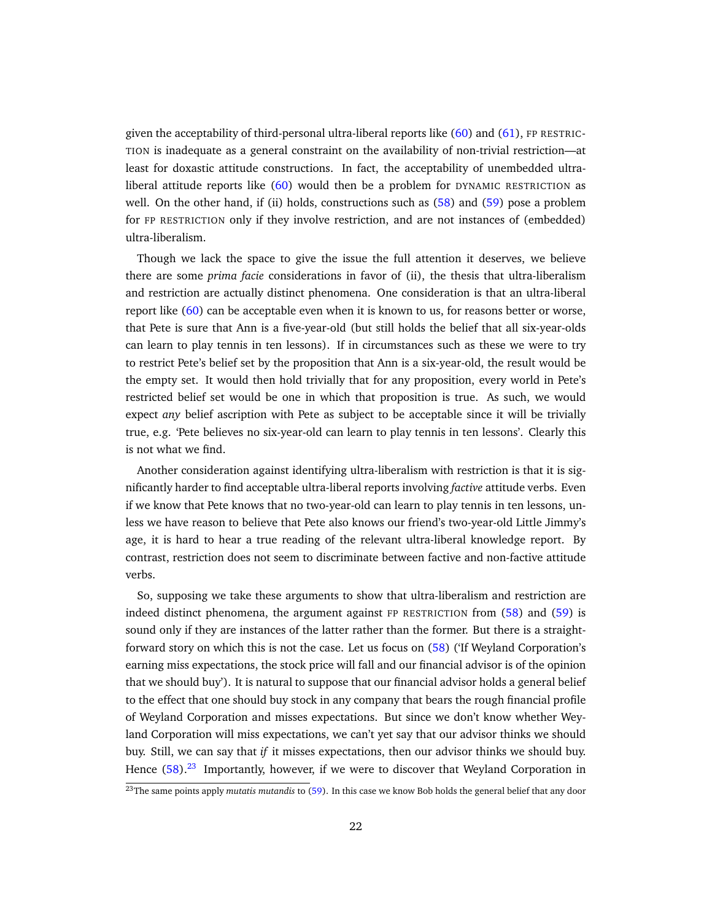given the acceptability of third-personal ultra-liberal reports like [\(60\)](#page-20-0) and [\(61\)](#page-20-2), FP RESTRIC-TION is inadequate as a general constraint on the availability of non-trivial restriction—at least for doxastic attitude constructions. In fact, the acceptability of unembedded ultraliberal attitude reports like [\(60\)](#page-20-0) would then be a problem for DYNAMIC RESTRICTION as well. On the other hand, if (ii) holds, constructions such as [\(58\)](#page-19-1) and [\(59\)](#page-19-2) pose a problem for FP RESTRICTION only if they involve restriction, and are not instances of (embedded) ultra-liberalism.

Though we lack the space to give the issue the full attention it deserves, we believe there are some *prima facie* considerations in favor of (ii), the thesis that ultra-liberalism and restriction are actually distinct phenomena. One consideration is that an ultra-liberal report like [\(60\)](#page-20-0) can be acceptable even when it is known to us, for reasons better or worse, that Pete is sure that Ann is a five-year-old (but still holds the belief that all six-year-olds can learn to play tennis in ten lessons). If in circumstances such as these we were to try to restrict Pete's belief set by the proposition that Ann is a six-year-old, the result would be the empty set. It would then hold trivially that for any proposition, every world in Pete's restricted belief set would be one in which that proposition is true. As such, we would expect *any* belief ascription with Pete as subject to be acceptable since it will be trivially true, e.g. 'Pete believes no six-year-old can learn to play tennis in ten lessons'. Clearly this is not what we find.

Another consideration against identifying ultra-liberalism with restriction is that it is significantly harder to find acceptable ultra-liberal reports involving *factive* attitude verbs. Even if we know that Pete knows that no two-year-old can learn to play tennis in ten lessons, unless we have reason to believe that Pete also knows our friend's two-year-old Little Jimmy's age, it is hard to hear a true reading of the relevant ultra-liberal knowledge report. By contrast, restriction does not seem to discriminate between factive and non-factive attitude verbs.

So, supposing we take these arguments to show that ultra-liberalism and restriction are indeed distinct phenomena, the argument against FP RESTRICTION from [\(58\)](#page-19-1) and [\(59\)](#page-19-2) is sound only if they are instances of the latter rather than the former. But there is a straightforward story on which this is not the case. Let us focus on [\(58\)](#page-19-1) ('If Weyland Corporation's earning miss expectations, the stock price will fall and our financial advisor is of the opinion that we should buy'). It is natural to suppose that our financial advisor holds a general belief to the effect that one should buy stock in any company that bears the rough financial profile of Weyland Corporation and misses expectations. But since we don't know whether Weyland Corporation will miss expectations, we can't yet say that our advisor thinks we should buy. Still, we can say that *if* it misses expectations, then our advisor thinks we should buy. Hence  $(58)$ <sup>[23](#page-21-0)</sup> Importantly, however, if we were to discover that Weyland Corporation in

<span id="page-21-0"></span><sup>23</sup>The same points apply *mutatis mutandis* to [\(59\)](#page-19-2). In this case we know Bob holds the general belief that any door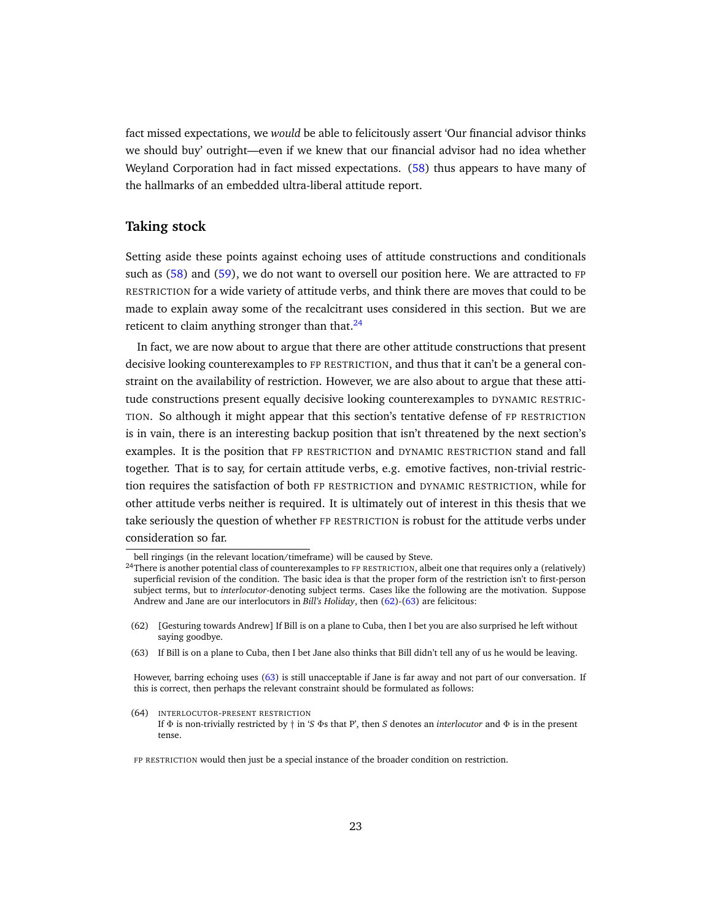fact missed expectations, we *would* be able to felicitously assert 'Our financial advisor thinks we should buy' outright—even if we knew that our financial advisor had no idea whether Weyland Corporation had in fact missed expectations. [\(58\)](#page-19-1) thus appears to have many of the hallmarks of an embedded ultra-liberal attitude report.

#### **Taking stock**

Setting aside these points against echoing uses of attitude constructions and conditionals such as [\(58\)](#page-19-1) and [\(59\)](#page-19-2), we do not want to oversell our position here. We are attracted to FP RESTRICTION for a wide variety of attitude verbs, and think there are moves that could to be made to explain away some of the recalcitrant uses considered in this section. But we are reticent to claim anything stronger than that. $^{24}$  $^{24}$  $^{24}$ 

In fact, we are now about to argue that there are other attitude constructions that present decisive looking counterexamples to FP RESTRICTION, and thus that it can't be a general constraint on the availability of restriction. However, we are also about to argue that these attitude constructions present equally decisive looking counterexamples to DYNAMIC RESTRIC-TION. So although it might appear that this section's tentative defense of FP RESTRICTION is in vain, there is an interesting backup position that isn't threatened by the next section's examples. It is the position that FP RESTRICTION and DYNAMIC RESTRICTION stand and fall together. That is to say, for certain attitude verbs, e.g. emotive factives, non-trivial restriction requires the satisfaction of both FP RESTRICTION and DYNAMIC RESTRICTION, while for other attitude verbs neither is required. It is ultimately out of interest in this thesis that we take seriously the question of whether FP RESTRICTION is robust for the attitude verbs under consideration so far.

bell ringings (in the relevant location/timeframe) will be caused by Steve.

<span id="page-22-0"></span> $^{24}$ There is another potential class of counterexamples to FP RESTRICTION, albeit one that requires only a (relatively) superficial revision of the condition. The basic idea is that the proper form of the restriction isn't to first-person subject terms, but to *interlocutor*-denoting subject terms. Cases like the following are the motivation. Suppose Andrew and Jane are our interlocutors in *Bill's Holiday*, then [\(62\)](#page-22-1)-[\(63\)](#page-22-2) are felicitous:

<span id="page-22-1"></span><sup>(62)</sup> [Gesturing towards Andrew] If Bill is on a plane to Cuba, then I bet you are also surprised he left without saying goodbye.

<span id="page-22-2"></span><sup>(63)</sup> If Bill is on a plane to Cuba, then I bet Jane also thinks that Bill didn't tell any of us he would be leaving.

However, barring echoing uses [\(63\)](#page-22-2) is still unacceptable if Jane is far away and not part of our conversation. If this is correct, then perhaps the relevant constraint should be formulated as follows:

<sup>(64)</sup> INTERLOCUTOR-PRESENT RESTRICTION If Φ is non-trivially restricted by † in '*S* Φs that P', then *S* denotes an *interlocutor* and Φ is in the present tense.

FP RESTRICTION would then just be a special instance of the broader condition on restriction.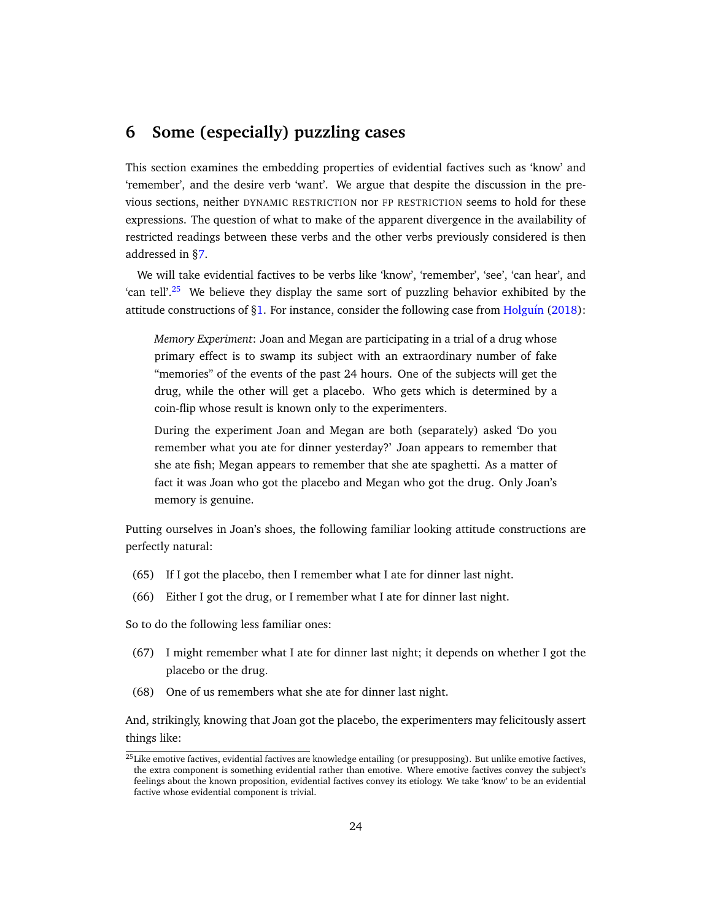# <span id="page-23-0"></span>**6 Some (especially) puzzling cases**

This section examines the embedding properties of evidential factives such as 'know' and 'remember', and the desire verb 'want'. We argue that despite the discussion in the previous sections, neither DYNAMIC RESTRICTION nor FP RESTRICTION seems to hold for these expressions. The question of what to make of the apparent divergence in the availability of restricted readings between these verbs and the other verbs previously considered is then addressed in [§7.](#page-28-0)

We will take evidential factives to be verbs like 'know', 'remember', 'see', 'can hear', and 'can tell'.<sup>[25](#page-23-1)</sup> We believe they display the same sort of puzzling behavior exhibited by the attitude constructions of [§1.](#page-0-0) For instance, consider the following case from  $Holguín$  [\(2018\)](#page-32-18):

*Memory Experiment*: Joan and Megan are participating in a trial of a drug whose primary effect is to swamp its subject with an extraordinary number of fake "memories" of the events of the past 24 hours. One of the subjects will get the drug, while the other will get a placebo. Who gets which is determined by a coin-flip whose result is known only to the experimenters.

During the experiment Joan and Megan are both (separately) asked 'Do you remember what you ate for dinner yesterday?' Joan appears to remember that she ate fish; Megan appears to remember that she ate spaghetti. As a matter of fact it was Joan who got the placebo and Megan who got the drug. Only Joan's memory is genuine.

Putting ourselves in Joan's shoes, the following familiar looking attitude constructions are perfectly natural:

- <span id="page-23-2"></span>(65) If I got the placebo, then I remember what I ate for dinner last night.
- (66) Either I got the drug, or I remember what I ate for dinner last night.

So to do the following less familiar ones:

- (67) I might remember what I ate for dinner last night; it depends on whether I got the placebo or the drug.
- (68) One of us remembers what she ate for dinner last night.

And, strikingly, knowing that Joan got the placebo, the experimenters may felicitously assert things like:

<span id="page-23-1"></span> $^{25}$ Like emotive factives, evidential factives are knowledge entailing (or presupposing). But unlike emotive factives, the extra component is something evidential rather than emotive. Where emotive factives convey the subject's feelings about the known proposition, evidential factives convey its etiology. We take 'know' to be an evidential factive whose evidential component is trivial.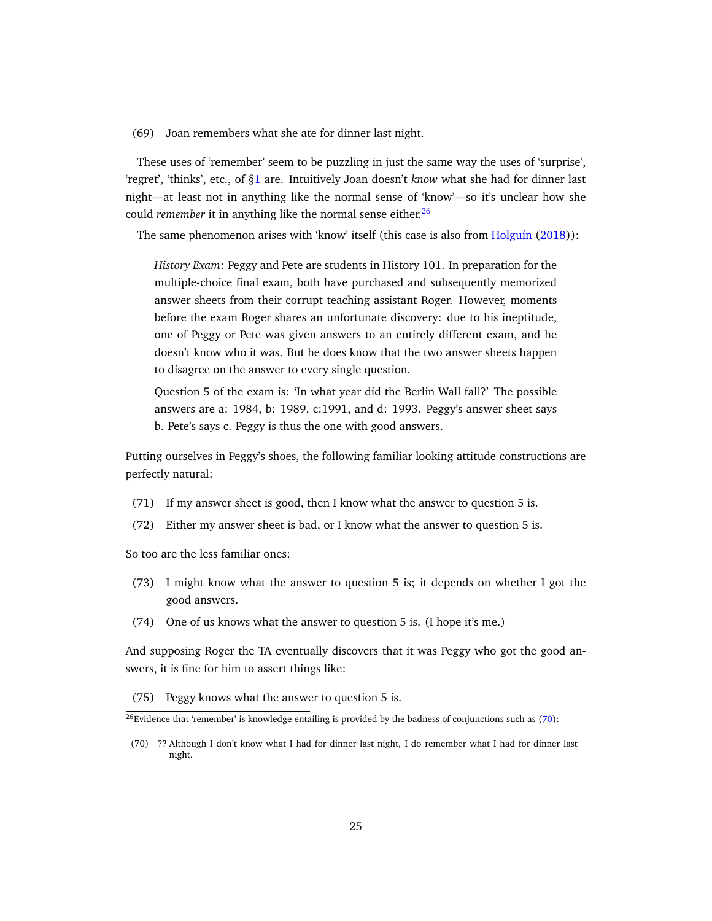<span id="page-24-4"></span>(69) Joan remembers what she ate for dinner last night.

These uses of 'remember' seem to be puzzling in just the same way the uses of 'surprise', 'regret', 'thinks', etc., of [§1](#page-0-0) are. Intuitively Joan doesn't *know* what she had for dinner last night—at least not in anything like the normal sense of 'know'—so it's unclear how she could *remember* it in anything like the normal sense either.<sup>[26](#page-24-0)</sup>

The same phenomenon arises with 'know' itself (this case is also from  $Holguín$  [\(2018\)](#page-32-18)):

*History Exam*: Peggy and Pete are students in History 101. In preparation for the multiple-choice final exam, both have purchased and subsequently memorized answer sheets from their corrupt teaching assistant Roger. However, moments before the exam Roger shares an unfortunate discovery: due to his ineptitude, one of Peggy or Pete was given answers to an entirely different exam, and he doesn't know who it was. But he does know that the two answer sheets happen to disagree on the answer to every single question.

Question 5 of the exam is: 'In what year did the Berlin Wall fall?' The possible answers are a: 1984, b: 1989, c:1991, and d: 1993. Peggy's answer sheet says b. Pete's says c. Peggy is thus the one with good answers.

Putting ourselves in Peggy's shoes, the following familiar looking attitude constructions are perfectly natural:

- <span id="page-24-2"></span>(71) If my answer sheet is good, then I know what the answer to question 5 is.
- (72) Either my answer sheet is bad, or I know what the answer to question 5 is.

So too are the less familiar ones:

- <span id="page-24-5"></span>(73) I might know what the answer to question 5 is; it depends on whether I got the good answers.
- <span id="page-24-6"></span>(74) One of us knows what the answer to question 5 is. (I hope it's me.)

And supposing Roger the TA eventually discovers that it was Peggy who got the good answers, it is fine for him to assert things like:

<span id="page-24-3"></span>(75) Peggy knows what the answer to question 5 is.

<span id="page-24-0"></span><sup>&</sup>lt;sup>26</sup>Evidence that 'remember' is knowledge entailing is provided by the badness of conjunctions such as [\(70\)](#page-24-1):

<span id="page-24-1"></span><sup>(70)</sup> ?? Although I don't know what I had for dinner last night, I do remember what I had for dinner last night.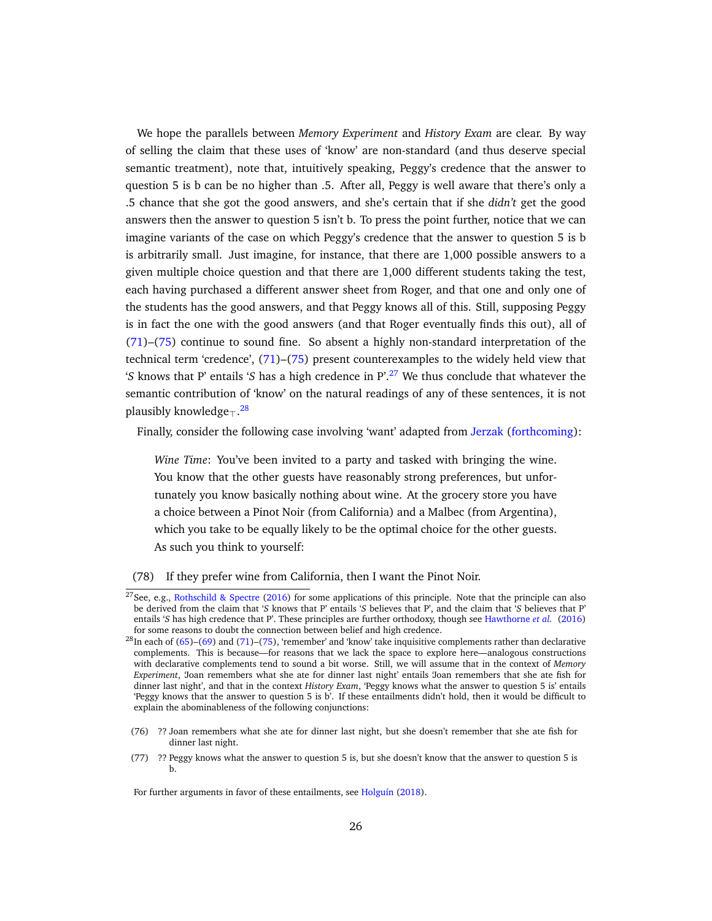We hope the parallels between *Memory Experiment* and *History Exam* are clear. By way of selling the claim that these uses of 'know' are non-standard (and thus deserve special semantic treatment), note that, intuitively speaking, Peggy's credence that the answer to question 5 is b can be no higher than .5. After all, Peggy is well aware that there's only a .5 chance that she got the good answers, and she's certain that if she *didn't* get the good answers then the answer to question 5 isn't b. To press the point further, notice that we can imagine variants of the case on which Peggy's credence that the answer to question 5 is b is arbitrarily small. Just imagine, for instance, that there are 1,000 possible answers to a given multiple choice question and that there are 1,000 different students taking the test, each having purchased a different answer sheet from Roger, and that one and only one of the students has the good answers, and that Peggy knows all of this. Still, supposing Peggy is in fact the one with the good answers (and that Roger eventually finds this out), all of [\(71\)](#page-24-2)–[\(75\)](#page-24-3) continue to sound fine. So absent a highly non-standard interpretation of the technical term 'credence', [\(71\)](#page-24-2)–[\(75\)](#page-24-3) present counterexamples to the widely held view that '*S* knows that P' entails '*S* has a high credence in P'.[27](#page-25-0) We thus conclude that whatever the semantic contribution of 'know' on the natural readings of any of these sentences, it is not plausibly knowledge $_\top$ . $^{28}$  $^{28}$  $^{28}$ 

Finally, consider the following case involving 'want' adapted from [Jerzak](#page-32-3) [\(forthcoming\)](#page-32-3):

*Wine Time*: You've been invited to a party and tasked with bringing the wine. You know that the other guests have reasonably strong preferences, but unfortunately you know basically nothing about wine. At the grocery store you have a choice between a Pinot Noir (from California) and a Malbec (from Argentina), which you take to be equally likely to be the optimal choice for the other guests. As such you think to yourself:

For further arguments in favor of these entailments, see Holguín [\(2018\)](#page-32-18).

<span id="page-25-2"></span><sup>(78)</sup> If they prefer wine from California, then I want the Pinot Noir.

<span id="page-25-0"></span> $27$ See, e.g., [Rothschild & Spectre](#page-33-8) [\(2016\)](#page-33-8) for some applications of this principle. Note that the principle can also be derived from the claim that '*S* knows that P' entails '*S* believes that P', and the claim that '*S* believes that P' entails '*S* has high credence that P'. These principles are further orthodoxy, though see [Hawthorne](#page-32-7) *et al.* [\(2016\)](#page-32-7) for some reasons to doubt the connection between belief and high credence.

<span id="page-25-1"></span> $^{28}$ In each of [\(65\)](#page-23-2)–[\(69\)](#page-24-4) and [\(71\)](#page-24-2)–[\(75\)](#page-24-3), 'remember' and 'know' take inquisitive complements rather than declarative complements. This is because—for reasons that we lack the space to explore here—analogous constructions with declarative complements tend to sound a bit worse. Still, we will assume that in the context of *Memory Experiment*, 'Joan remembers what she ate for dinner last night' entails 'Joan remembers that she ate fish for dinner last night', and that in the context *History Exam*, 'Peggy knows what the answer to question 5 is' entails 'Peggy knows that the answer to question 5 is b'. If these entailments didn't hold, then it would be difficult to explain the abominableness of the following conjunctions:

<sup>(76)</sup> ?? Joan remembers what she ate for dinner last night, but she doesn't remember that she ate fish for dinner last night.

<sup>(77)</sup> ?? Peggy knows what the answer to question 5 is, but she doesn't know that the answer to question 5 is b.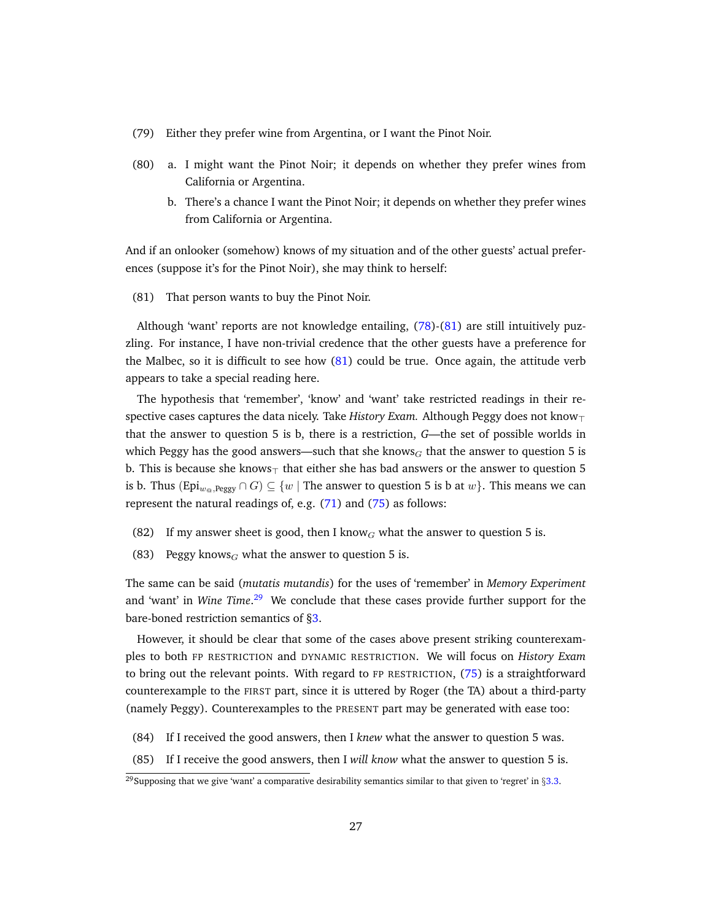- (79) Either they prefer wine from Argentina, or I want the Pinot Noir.
- (80) a. I might want the Pinot Noir; it depends on whether they prefer wines from California or Argentina.
	- b. There's a chance I want the Pinot Noir; it depends on whether they prefer wines from California or Argentina.

And if an onlooker (somehow) knows of my situation and of the other guests' actual preferences (suppose it's for the Pinot Noir), she may think to herself:

<span id="page-26-0"></span>(81) That person wants to buy the Pinot Noir.

Although 'want' reports are not knowledge entailing, [\(78\)](#page-25-2)-[\(81\)](#page-26-0) are still intuitively puzzling. For instance, I have non-trivial credence that the other guests have a preference for the Malbec, so it is difficult to see how  $(81)$  could be true. Once again, the attitude verb appears to take a special reading here.

The hypothesis that 'remember', 'know' and 'want' take restricted readings in their respective cases captures the data nicely. Take *History Exam.* Although Peggy does not know $<sub>T</sub>$ </sub> that the answer to question 5 is b, there is a restriction, *G*—the set of possible worlds in which Peggy has the good answers—such that she knows<sub>G</sub> that the answer to question 5 is b. This is because she knows $<sub>T</sub>$  that either she has bad answers or the answer to question 5</sub> is b. Thus (Epi<sub>w®, Peggy</sub> ∩ G)  $\subseteq \{w \mid$  The answer to question 5 is b at w}. This means we can represent the natural readings of, e.g. [\(71\)](#page-24-2) and [\(75\)](#page-24-3) as follows:

- (82) If my answer sheet is good, then I know<sub>G</sub> what the answer to question 5 is.
- (83) Peggy knows<sub>G</sub> what the answer to question 5 is.

The same can be said (*mutatis mutandis*) for the uses of 'remember' in *Memory Experiment* and 'want' in *Wine Time*. [29](#page-26-1) We conclude that these cases provide further support for the bare-boned restriction semantics of [§3.](#page-7-0)

However, it should be clear that some of the cases above present striking counterexamples to both FP RESTRICTION and DYNAMIC RESTRICTION. We will focus on *History Exam* to bring out the relevant points. With regard to FP RESTRICTION, [\(75\)](#page-24-3) is a straightforward counterexample to the FIRST part, since it is uttered by Roger (the TA) about a third-party (namely Peggy). Counterexamples to the PRESENT part may be generated with ease too:

- <span id="page-26-2"></span>(84) If I received the good answers, then I *knew* what the answer to question 5 was.
- <span id="page-26-3"></span>(85) If I receive the good answers, then I *will know* what the answer to question 5 is.

<span id="page-26-1"></span><sup>&</sup>lt;sup>29</sup>Supposing that we give 'want' a comparative desirability semantics similar to that given to 'regret' in §[3.3.](#page-11-3)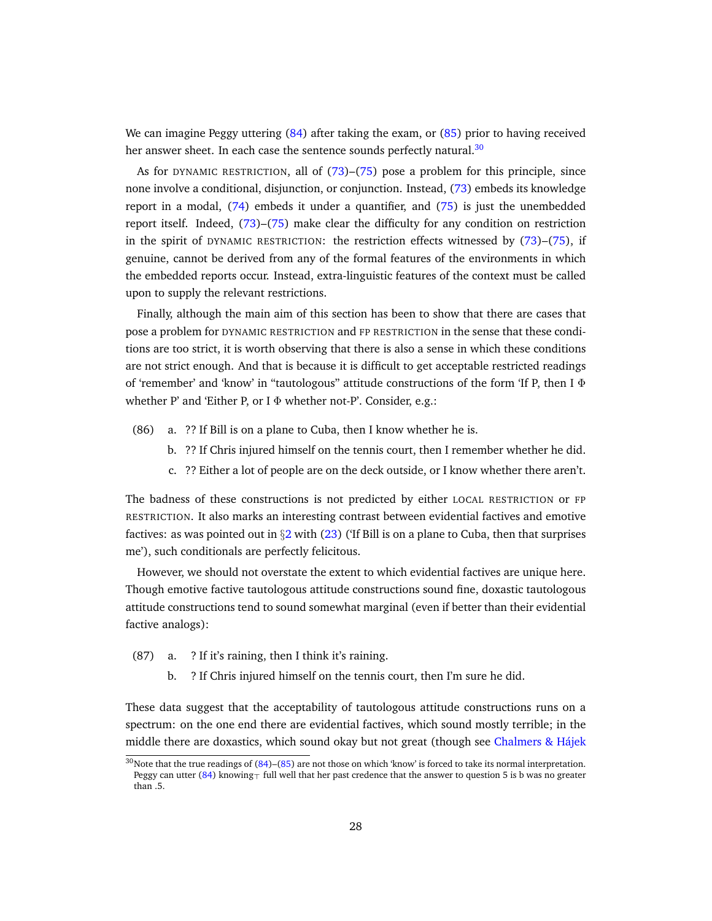We can imagine Peggy uttering [\(84\)](#page-26-2) after taking the exam, or [\(85\)](#page-26-3) prior to having received her answer sheet. In each case the sentence sounds perfectly natural.<sup>[30](#page-27-0)</sup>

As for DYNAMIC RESTRICTION, all of [\(73\)](#page-24-5)–[\(75\)](#page-24-3) pose a problem for this principle, since none involve a conditional, disjunction, or conjunction. Instead, [\(73\)](#page-24-5) embeds its knowledge report in a modal, [\(74\)](#page-24-6) embeds it under a quantifier, and [\(75\)](#page-24-3) is just the unembedded report itself. Indeed, [\(73\)](#page-24-5)–[\(75\)](#page-24-3) make clear the difficulty for any condition on restriction in the spirit of DYNAMIC RESTRICTION: the restriction effects witnessed by  $(73)$ – $(75)$ , if genuine, cannot be derived from any of the formal features of the environments in which the embedded reports occur. Instead, extra-linguistic features of the context must be called upon to supply the relevant restrictions.

Finally, although the main aim of this section has been to show that there are cases that pose a problem for DYNAMIC RESTRICTION and FP RESTRICTION in the sense that these conditions are too strict, it is worth observing that there is also a sense in which these conditions are not strict enough. And that is because it is difficult to get acceptable restricted readings of 'remember' and 'know' in "tautologous" attitude constructions of the form 'If P, then I  $\Phi$ whether P' and 'Either P, or I Φ whether not-P'. Consider, e.g.:

(86) a. ?? If Bill is on a plane to Cuba, then I know whether he is.

- b. ?? If Chris injured himself on the tennis court, then I remember whether he did.
- c. ?? Either a lot of people are on the deck outside, or I know whether there aren't.

The badness of these constructions is not predicted by either LOCAL RESTRICTION or FP RESTRICTION. It also marks an interesting contrast between evidential factives and emotive factives: as was pointed out in  $\S2$  $\S2$  with [\(23\)](#page-6-2) ('If Bill is on a plane to Cuba, then that surprises me'), such conditionals are perfectly felicitous.

However, we should not overstate the extent to which evidential factives are unique here. Though emotive factive tautologous attitude constructions sound fine, doxastic tautologous attitude constructions tend to sound somewhat marginal (even if better than their evidential factive analogs):

- (87) a. ? If it's raining, then I think it's raining.
	- b. ? If Chris injured himself on the tennis court, then I'm sure he did.

These data suggest that the acceptability of tautologous attitude constructions runs on a spectrum: on the one end there are evidential factives, which sound mostly terrible; in the middle there are doxastics, which sound okay but not great (though see [Chalmers & Hajek](#page-32-19) ´

<span id="page-27-0"></span> $30$ Note that the true readings of  $(84)$ – $(85)$  are not those on which 'know' is forced to take its normal interpretation. Peggy can utter [\(84\)](#page-26-2) knowing  $<sub>T</sub>$  full well that her past credence that the answer to question 5 is b was no greater</sub> than .5.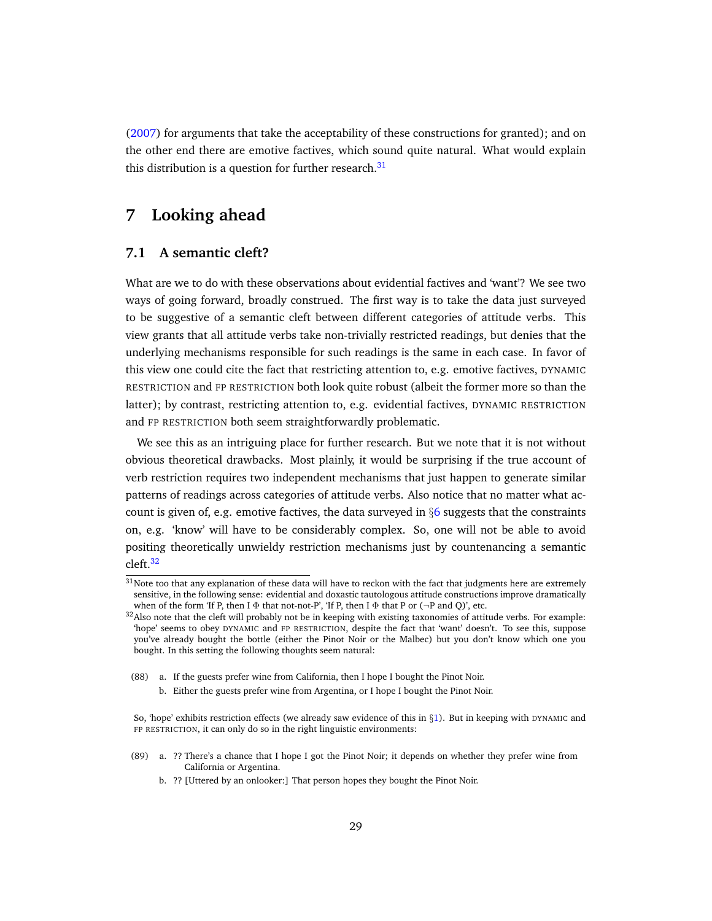[\(2007\)](#page-32-19) for arguments that take the acceptability of these constructions for granted); and on the other end there are emotive factives, which sound quite natural. What would explain this distribution is a question for further research. $31$ 

# <span id="page-28-0"></span>**7 Looking ahead**

### **7.1 A semantic cleft?**

What are we to do with these observations about evidential factives and 'want'? We see two ways of going forward, broadly construed. The first way is to take the data just surveyed to be suggestive of a semantic cleft between different categories of attitude verbs. This view grants that all attitude verbs take non-trivially restricted readings, but denies that the underlying mechanisms responsible for such readings is the same in each case. In favor of this view one could cite the fact that restricting attention to, e.g. emotive factives, DYNAMIC RESTRICTION and FP RESTRICTION both look quite robust (albeit the former more so than the latter); by contrast, restricting attention to, e.g. evidential factives, DYNAMIC RESTRICTION and FP RESTRICTION both seem straightforwardly problematic.

We see this as an intriguing place for further research. But we note that it is not without obvious theoretical drawbacks. Most plainly, it would be surprising if the true account of verb restriction requires two independent mechanisms that just happen to generate similar patterns of readings across categories of attitude verbs. Also notice that no matter what account is given of, e.g. emotive factives, the data surveyed in  $\S6$  $\S6$  suggests that the constraints on, e.g. 'know' will have to be considerably complex. So, one will not be able to avoid positing theoretically unwieldy restriction mechanisms just by countenancing a semantic cleft.[32](#page-28-2)

- (89) a. ?? There's a chance that I hope I got the Pinot Noir; it depends on whether they prefer wine from California or Argentina.
	- b. ?? [Uttered by an onlooker:] That person hopes they bought the Pinot Noir.

<span id="page-28-1"></span> $31$ Note too that any explanation of these data will have to reckon with the fact that judgments here are extremely sensitive, in the following sense: evidential and doxastic tautologous attitude constructions improve dramatically when of the form 'If P, then I Φ that not-not-P', 'If P, then I Φ that P or (¬P and Q)', etc.

<span id="page-28-2"></span> $32$ Also note that the cleft will probably not be in keeping with existing taxonomies of attitude verbs. For example: 'hope' seems to obey DYNAMIC and FP RESTRICTION, despite the fact that 'want' doesn't. To see this, suppose you've already bought the bottle (either the Pinot Noir or the Malbec) but you don't know which one you bought. In this setting the following thoughts seem natural:

<sup>(88)</sup> a. If the guests prefer wine from California, then I hope I bought the Pinot Noir.

b. Either the guests prefer wine from Argentina, or I hope I bought the Pinot Noir.

So, 'hope' exhibits restriction effects (we already saw evidence of this in  $\S1$ ). But in keeping with DYNAMIC and FP RESTRICTION, it can only do so in the right linguistic environments: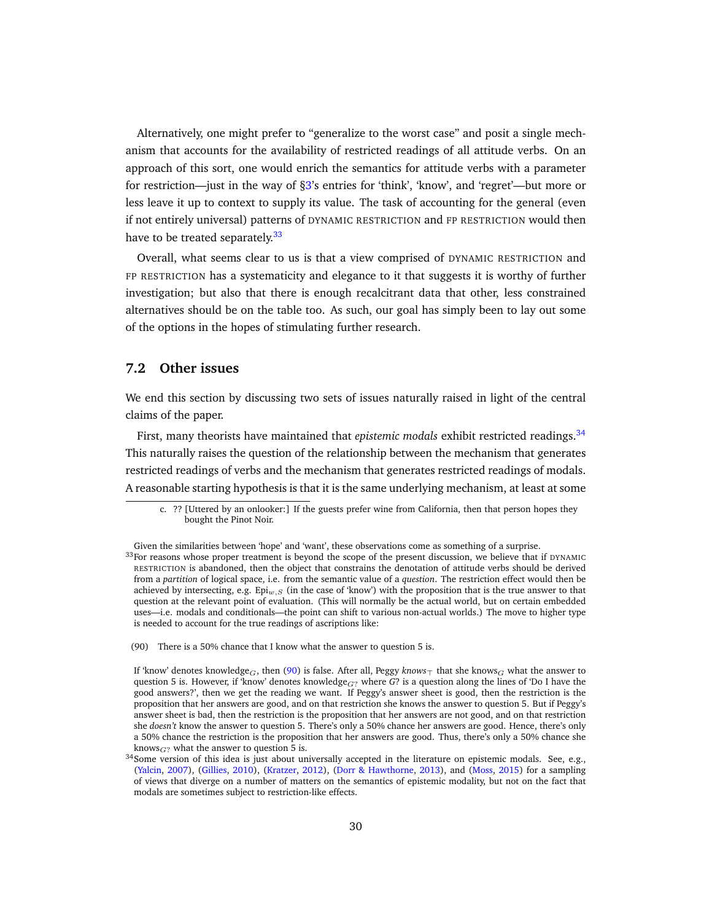Alternatively, one might prefer to "generalize to the worst case" and posit a single mechanism that accounts for the availability of restricted readings of all attitude verbs. On an approach of this sort, one would enrich the semantics for attitude verbs with a parameter for restriction—just in the way of [§3'](#page-7-0)s entries for 'think', 'know', and 'regret'—but more or less leave it up to context to supply its value. The task of accounting for the general (even if not entirely universal) patterns of DYNAMIC RESTRICTION and FP RESTRICTION would then have to be treated separately. $33$ 

Overall, what seems clear to us is that a view comprised of DYNAMIC RESTRICTION and FP RESTRICTION has a systematicity and elegance to it that suggests it is worthy of further investigation; but also that there is enough recalcitrant data that other, less constrained alternatives should be on the table too. As such, our goal has simply been to lay out some of the options in the hopes of stimulating further research.

### **7.2 Other issues**

We end this section by discussing two sets of issues naturally raised in light of the central claims of the paper.

First, many theorists have maintained that *epistemic modals* exhibit restricted readings.[34](#page-29-1) This naturally raises the question of the relationship between the mechanism that generates restricted readings of verbs and the mechanism that generates restricted readings of modals. A reasonable starting hypothesis is that it is the same underlying mechanism, at least at some

<span id="page-29-2"></span>(90) There is a 50% chance that I know what the answer to question 5 is.

c. ?? [Uttered by an onlooker:] If the guests prefer wine from California, then that person hopes they bought the Pinot Noir.

Given the similarities between 'hope' and 'want', these observations come as something of a surprise.

<span id="page-29-0"></span> $33$  For reasons whose proper treatment is beyond the scope of the present discussion, we believe that if DYNAMIC RESTRICTION is abandoned, then the object that constrains the denotation of attitude verbs should be derived from a *partition* of logical space, i.e. from the semantic value of a *question*. The restriction effect would then be achieved by intersecting, e.g. Epi<sub>w,S</sub> (in the case of 'know') with the proposition that is the true answer to that question at the relevant point of evaluation. (This will normally be the actual world, but on certain embedded uses—i.e. modals and conditionals—the point can shift to various non-actual worlds.) The move to higher type is needed to account for the true readings of ascriptions like:

If 'know' denotes knowledge<sub>G</sub>, then [\(90\)](#page-29-2) is false. After all, Peggy  $known_{T}$  that she knows<sub>G</sub> what the answer to question 5 is. However, if 'know' denotes knowledge<sub>G?</sub> where G? is a question along the lines of 'Do I have the good answers?', then we get the reading we want. If Peggy's answer sheet is good, then the restriction is the proposition that her answers are good, and on that restriction she knows the answer to question 5. But if Peggy's answer sheet is bad, then the restriction is the proposition that her answers are not good, and on that restriction she *doesn't* know the answer to question 5. There's only a 50% chance her answers are good. Hence, there's only a 50% chance the restriction is the proposition that her answers are good. Thus, there's only a 50% chance she knows $_{G?}$  what the answer to question 5 is.

<span id="page-29-1"></span> $34$ Some version of this idea is just about universally accepted in the literature on epistemic modals. See, e.g., [\(Yalcin,](#page-33-9) [2007\)](#page-33-9), [\(Gillies,](#page-32-20) [2010\)](#page-32-20), [\(Kratzer,](#page-32-21) [2012\)](#page-32-21), [\(Dorr & Hawthorne,](#page-32-22) [2013\)](#page-32-22), and [\(Moss,](#page-32-23) [2015\)](#page-32-23) for a sampling of views that diverge on a number of matters on the semantics of epistemic modality, but not on the fact that modals are sometimes subject to restriction-like effects.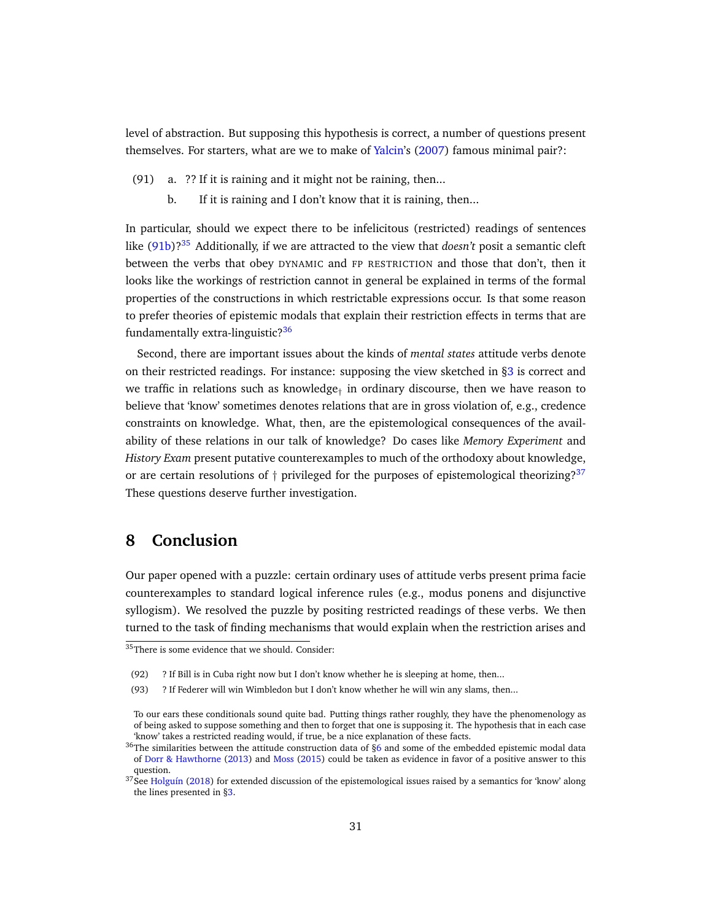level of abstraction. But supposing this hypothesis is correct, a number of questions present themselves. For starters, what are we to make of [Yalcin'](#page-33-9)s [\(2007\)](#page-33-9) famous minimal pair?:

- <span id="page-30-1"></span>(91) a. ?? If it is raining and it might not be raining, then...
	- b. If it is raining and I don't know that it is raining, then...

In particular, should we expect there to be infelicitous (restricted) readings of sentences like [\(91b\)](#page-30-1)?[35](#page-30-2) Additionally, if we are attracted to the view that *doesn't* posit a semantic cleft between the verbs that obey DYNAMIC and FP RESTRICTION and those that don't, then it looks like the workings of restriction cannot in general be explained in terms of the formal properties of the constructions in which restrictable expressions occur. Is that some reason to prefer theories of epistemic modals that explain their restriction effects in terms that are fundamentally extra-linguistic?<sup>[36](#page-30-3)</sup>

Second, there are important issues about the kinds of *mental states* attitude verbs denote on their restricted readings. For instance: supposing the view sketched in  $\S3$  is correct and we traffic in relations such as knowledge<sub>†</sub> in ordinary discourse, then we have reason to believe that 'know' sometimes denotes relations that are in gross violation of, e.g., credence constraints on knowledge. What, then, are the epistemological consequences of the availability of these relations in our talk of knowledge? Do cases like *Memory Experiment* and *History Exam* present putative counterexamples to much of the orthodoxy about knowledge, or are certain resolutions of  $\dagger$  privileged for the purposes of epistemological theorizing?<sup>[37](#page-30-4)</sup> These questions deserve further investigation.

# <span id="page-30-0"></span>**8 Conclusion**

Our paper opened with a puzzle: certain ordinary uses of attitude verbs present prima facie counterexamples to standard logical inference rules (e.g., modus ponens and disjunctive syllogism). We resolved the puzzle by positing restricted readings of these verbs. We then turned to the task of finding mechanisms that would explain when the restriction arises and

<span id="page-30-2"></span><sup>&</sup>lt;sup>35</sup>There is some evidence that we should. Consider:

<sup>(92)</sup> ? If Bill is in Cuba right now but I don't know whether he is sleeping at home, then...

<sup>(93)</sup> ? If Federer will win Wimbledon but I don't know whether he will win any slams, then...

To our ears these conditionals sound quite bad. Putting things rather roughly, they have the phenomenology as of being asked to suppose something and then to forget that one is supposing it. The hypothesis that in each case 'know' takes a restricted reading would, if true, be a nice explanation of these facts.

<span id="page-30-3"></span> $36$ The similarities between the attitude construction data of  $\S6$  and some of the embedded epistemic modal data of [Dorr & Hawthorne](#page-32-22) [\(2013\)](#page-32-22) and [Moss](#page-32-23) [\(2015\)](#page-32-23) could be taken as evidence in favor of a positive answer to this question.

<span id="page-30-4"></span> $37$ See Holguín [\(2018\)](#page-32-18) for extended discussion of the epistemological issues raised by a semantics for 'know' along the lines presented in [§3.](#page-7-0)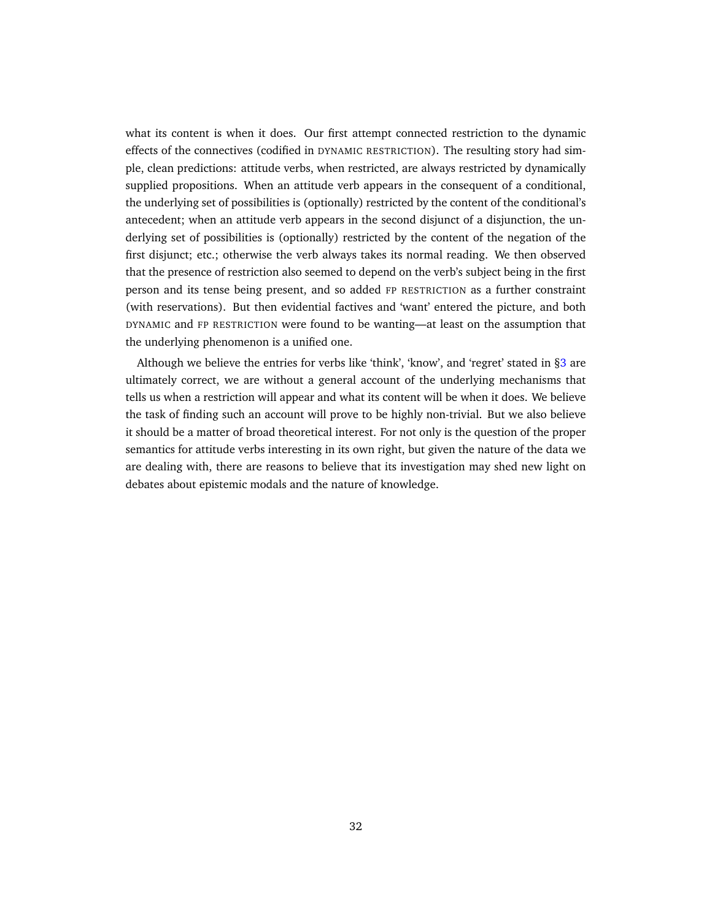what its content is when it does. Our first attempt connected restriction to the dynamic effects of the connectives (codified in DYNAMIC RESTRICTION). The resulting story had simple, clean predictions: attitude verbs, when restricted, are always restricted by dynamically supplied propositions. When an attitude verb appears in the consequent of a conditional, the underlying set of possibilities is (optionally) restricted by the content of the conditional's antecedent; when an attitude verb appears in the second disjunct of a disjunction, the underlying set of possibilities is (optionally) restricted by the content of the negation of the first disjunct; etc.; otherwise the verb always takes its normal reading. We then observed that the presence of restriction also seemed to depend on the verb's subject being in the first person and its tense being present, and so added FP RESTRICTION as a further constraint (with reservations). But then evidential factives and 'want' entered the picture, and both DYNAMIC and FP RESTRICTION were found to be wanting—at least on the assumption that the underlying phenomenon is a unified one.

Although we believe the entries for verbs like 'think', 'know', and 'regret' stated in [§3](#page-7-0) are ultimately correct, we are without a general account of the underlying mechanisms that tells us when a restriction will appear and what its content will be when it does. We believe the task of finding such an account will prove to be highly non-trivial. But we also believe it should be a matter of broad theoretical interest. For not only is the question of the proper semantics for attitude verbs interesting in its own right, but given the nature of the data we are dealing with, there are reasons to believe that its investigation may shed new light on debates about epistemic modals and the nature of knowledge.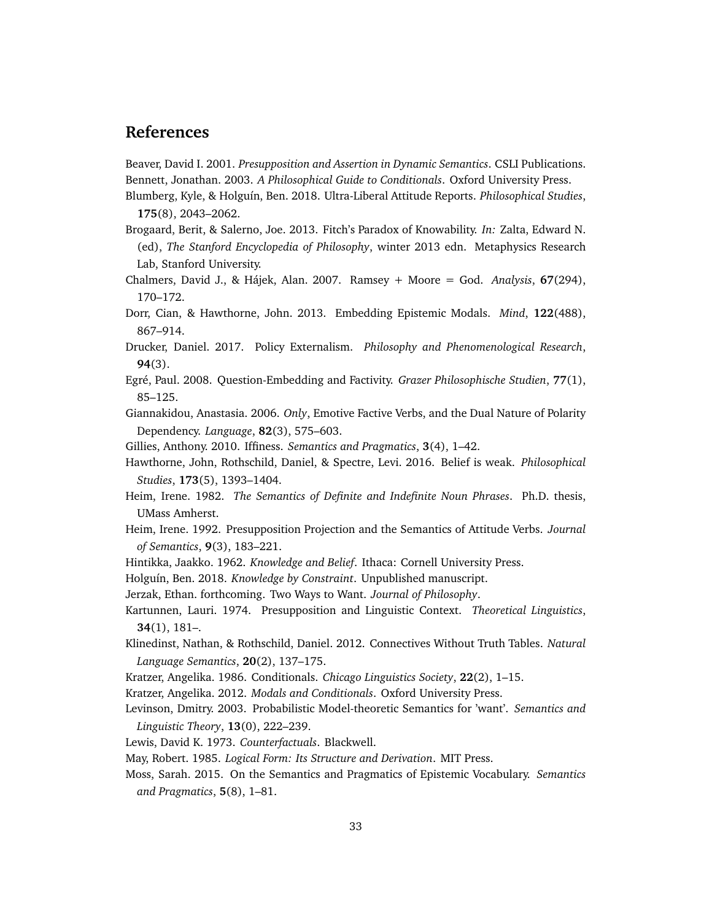### **References**

<span id="page-32-15"></span><span id="page-32-0"></span>Beaver, David I. 2001. *Presupposition and Assertion in Dynamic Semantics*. CSLI Publications. Bennett, Jonathan. 2003. *A Philosophical Guide to Conditionals*. Oxford University Press.

<span id="page-32-17"></span>Blumberg, Kyle, & Holgu´ın, Ben. 2018. Ultra-Liberal Attitude Reports. *Philosophical Studies*, **175**(8), 2043–2062.

- <span id="page-32-1"></span>Brogaard, Berit, & Salerno, Joe. 2013. Fitch's Paradox of Knowability. *In:* Zalta, Edward N. (ed), *The Stanford Encyclopedia of Philosophy*, winter 2013 edn. Metaphysics Research Lab, Stanford University.
- <span id="page-32-19"></span>Chalmers, David J., & Hajek, Alan. 2007. Ramsey + Moore = God. ´ *Analysis*, **67**(294), 170–172.
- <span id="page-32-22"></span>Dorr, Cian, & Hawthorne, John. 2013. Embedding Epistemic Modals. *Mind*, **122**(488), 867–914.
- <span id="page-32-2"></span>Drucker, Daniel. 2017. Policy Externalism. *Philosophy and Phenomenological Research*, **94**(3).
- <span id="page-32-9"></span>Egr´e, Paul. 2008. Question-Embedding and Factivity. *Grazer Philosophische Studien*, **77**(1), 85–125.
- <span id="page-32-8"></span>Giannakidou, Anastasia. 2006. *Only*, Emotive Factive Verbs, and the Dual Nature of Polarity Dependency. *Language*, **82**(3), 575–603.
- <span id="page-32-20"></span><span id="page-32-7"></span>Gillies, Anthony. 2010. Iffiness. *Semantics and Pragmatics*, **3**(4), 1–42.
- Hawthorne, John, Rothschild, Daniel, & Spectre, Levi. 2016. Belief is weak. *Philosophical Studies*, **173**(5), 1393–1404.
- <span id="page-32-14"></span>Heim, Irene. 1982. *The Semantics of Definite and Indefinite Noun Phrases*. Ph.D. thesis, UMass Amherst.
- <span id="page-32-10"></span>Heim, Irene. 1992. Presupposition Projection and the Semantics of Attitude Verbs. *Journal of Semantics*, **9**(3), 183–221.
- <span id="page-32-18"></span><span id="page-32-5"></span>Hintikka, Jaakko. 1962. *Knowledge and Belief*. Ithaca: Cornell University Press.
- <span id="page-32-3"></span>Holguín, Ben. 2018. *Knowledge by Constraint*. Unpublished manuscript.
- <span id="page-32-13"></span>Jerzak, Ethan. forthcoming. Two Ways to Want. *Journal of Philosophy*.
- Kartunnen, Lauri. 1974. Presupposition and Linguistic Context. *Theoretical Linguistics*, **34**(1), 181–.
- <span id="page-32-16"></span>Klinedinst, Nathan, & Rothschild, Daniel. 2012. Connectives Without Truth Tables. *Natural Language Semantics*, **20**(2), 137–175.
- <span id="page-32-21"></span><span id="page-32-6"></span>Kratzer, Angelika. 1986. Conditionals. *Chicago Linguistics Society*, **22**(2), 1–15.
- <span id="page-32-12"></span>Kratzer, Angelika. 2012. *Modals and Conditionals*. Oxford University Press.
- Levinson, Dmitry. 2003. Probabilistic Model-theoretic Semantics for 'want'. *Semantics and Linguistic Theory*, **13**(0), 222–239.
- <span id="page-32-11"></span><span id="page-32-4"></span>Lewis, David K. 1973. *Counterfactuals*. Blackwell.
- <span id="page-32-23"></span>May, Robert. 1985. *Logical Form: Its Structure and Derivation*. MIT Press.
- Moss, Sarah. 2015. On the Semantics and Pragmatics of Epistemic Vocabulary. *Semantics and Pragmatics*, **5**(8), 1–81.